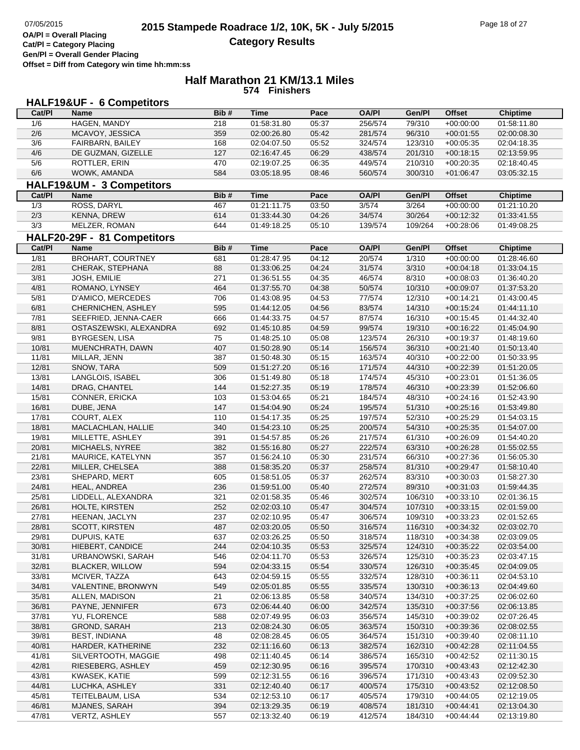## **Half Marathon 21 KM/13.1 Miles 574 Finishers**

## **HALF19&UF - 6 Competitors**

| Cat/PI | Name                        | Bib# | <b>Time</b> | Pace  | <b>OA/PI</b> | Gen/Pl  | <b>Offset</b> | <b>Chiptime</b> |
|--------|-----------------------------|------|-------------|-------|--------------|---------|---------------|-----------------|
| 1/6    | HAGEN, MANDY                | 218  | 01:58:31.80 | 05:37 | 256/574      | 79/310  | $+00:00:00$   | 01:58:11.80     |
| 2/6    | MCAVOY, JESSICA             | 359  | 02:00:26.80 | 05:42 | 281/574      | 96/310  | $+00:01:55$   | 02:00:08.30     |
| 3/6    | FAIRBARN, BAILEY            | 168  | 02:04:07.50 | 05:52 | 324/574      | 123/310 | $+00:05:35$   | 02:04:18.35     |
| 4/6    | DE GUZMAN, GIZELLE          | 127  | 02:16:47.45 | 06:29 | 438/574      | 201/310 | $+00:18:15$   | 02:13:59.95     |
| 5/6    | ROTTLER, ERIN               | 470  | 02:19:07.25 | 06:35 | 449/574      | 210/310 | $+00:20:35$   | 02:18:40.45     |
| 6/6    | WOWK, AMANDA                | 584  | 03:05:18.95 | 08:46 | 560/574      | 300/310 | $+01:06:47$   | 03:05:32.15     |
|        | HALF19&UM - 3 Competitors   |      |             |       |              |         |               |                 |
| Cat/PI | <b>Name</b>                 | Bib# | <b>Time</b> | Pace  | <b>OA/PI</b> | Gen/Pl  | <b>Offset</b> | <b>Chiptime</b> |
| 1/3    | ROSS, DARYL                 | 467  | 01:21:11.75 | 03:50 | 3/574        | 3/264   | $+00:00:00$   | 01:21:10.20     |
| 2/3    | <b>KENNA, DREW</b>          | 614  | 01:33:44.30 | 04:26 | 34/574       | 30/264  | $+00:12:32$   | 01:33:41.55     |
| 3/3    | MELZER, ROMAN               | 644  | 01:49:18.25 | 05:10 | 139/574      | 109/264 | $+00:28:06$   | 01:49:08.25     |
|        |                             |      |             |       |              |         |               |                 |
|        | HALF20-29F - 81 Competitors |      |             |       |              |         |               |                 |
| Cat/PI | Name                        | Bib# | <b>Time</b> | Pace  | <b>OA/PI</b> | Gen/Pl  | <b>Offset</b> | <b>Chiptime</b> |
| 1/81   | BROHART, COURTNEY           | 681  | 01:28:47.95 | 04:12 | 20/574       | 1/310   | $+00:00:00$   | 01:28:46.60     |
| 2/81   | CHERAK, STEPHANA            | 88   | 01:33:06.25 | 04:24 | 31/574       | 3/310   | $+00:04:18$   | 01:33:04.15     |
| 3/81   | JOSH, EMILIE                | 271  | 01:36:51.55 | 04:35 | 46/574       | 8/310   | $+00:08:03$   | 01:36:40.20     |
| 4/81   | ROMANO, LYNSEY              | 464  | 01:37:55.70 | 04:38 | 50/574       | 10/310  | $+00:09:07$   | 01:37:53.20     |
| 5/81   | D'AMICO, MERCEDES           | 706  | 01:43:08.95 | 04:53 | 77/574       | 12/310  | $+00:14:21$   | 01:43:00.45     |
| 6/81   | CHERNICHEN, ASHLEY          | 595  | 01:44:12.05 | 04:56 | 83/574       | 14/310  | $+00:15:24$   | 01:44:11.10     |
| 7/81   | SEEFRIED, JENNA-CAER        | 666  | 01:44:33.75 | 04:57 | 87/574       | 16/310  | $+00:15:45$   | 01:44:32.40     |
| 8/81   | OSTASZEWSKI, ALEXANDRA      | 692  | 01:45:10.85 | 04:59 | 99/574       | 19/310  | $+00:16:22$   | 01:45:04.90     |
| 9/81   | BYRGESEN, LISA              | 75   | 01:48:25.10 | 05:08 | 123/574      | 26/310  | $+00:19:37$   | 01:48:19.60     |
| 10/81  | MUENCHRATH, DAWN            | 407  | 01:50:28.90 | 05:14 | 156/574      | 36/310  | $+00:21:40$   | 01:50:13.40     |
| 11/81  | MILLAR, JENN                | 387  | 01:50:48.30 | 05:15 | 163/574      | 40/310  | $+00:22:00$   | 01:50:33.95     |
| 12/81  | SNOW, TARA                  | 509  | 01:51:27.20 | 05:16 | 171/574      | 44/310  | $+00:22:39$   | 01:51:20.05     |
| 13/81  | LANGLOIS, ISABEL            | 306  | 01:51:49.80 | 05:18 | 174/574      | 45/310  | $+00:23:01$   | 01:51:36.05     |
| 14/81  | DRAG, CHANTEL               | 144  | 01:52:27.35 | 05:19 | 178/574      | 46/310  | $+00:23:39$   | 01:52:06.60     |
| 15/81  | CONNER, ERICKA              | 103  | 01:53:04.65 | 05:21 | 184/574      | 48/310  | $+00:24:16$   | 01:52:43.90     |
| 16/81  | DUBE, JENA                  | 147  | 01:54:04.90 | 05:24 | 195/574      | 51/310  | $+00:25:16$   | 01:53:49.80     |
| 17/81  | COURT, ALEX                 | 110  | 01:54:17.35 | 05:25 | 197/574      | 52/310  | $+00:25:29$   | 01:54:03.15     |
| 18/81  | MACLACHLAN, HALLIE          | 340  | 01:54:23.10 | 05:25 | 200/574      | 54/310  | $+00:25:35$   | 01:54:07.00     |
| 19/81  | MILLETTE, ASHLEY            | 391  | 01:54:57.85 | 05:26 | 217/574      | 61/310  | $+00:26:09$   | 01:54:40.20     |
| 20/81  | MICHAELS, NYREE             | 382  | 01:55:16.80 | 05:27 | 222/574      | 63/310  | $+00:26:28$   | 01:55:02.55     |
| 21/81  | MAURICE, KATELYNN           | 357  | 01:56:24.10 | 05:30 | 231/574      | 66/310  | $+00:27:36$   | 01:56:05.30     |
| 22/81  | MILLER, CHELSEA             | 388  | 01:58:35.20 | 05:37 | 258/574      | 81/310  | $+00:29:47$   | 01:58:10.40     |
| 23/81  | SHEPARD, MERT               | 605  | 01:58:51.05 | 05:37 | 262/574      | 83/310  | $+00:30:03$   | 01:58:27.30     |
| 24/81  | HEAL, ANDREA                | 236  | 01:59:51.00 | 05:40 | 272/574      | 89/310  | $+00:31:03$   | 01:59:44.35     |
| 25/81  | LIDDELL, ALEXANDRA          | 321  | 02:01:58.35 | 05:46 | 302/574      | 106/310 | $+00:33:10$   | 02:01:36.15     |
| 26/81  | HOLTE, KIRSTEN              | 252  | 02:02:03.10 | 05:47 | 304/574      | 107/310 | $+00:33:15$   | 02:01:59.00     |
| 27/81  | HEENAN, JACLYN              | 237  | 02:02:10.95 | 05:47 | 306/574      | 109/310 | $+00:33:23$   | 02:01:52.65     |
| 28/81  | SCOTT, KIRSTEN              | 487  | 02:03:20.05 | 05:50 | 316/574      | 116/310 | $+00:34:32$   | 02:03:02.70     |
| 29/81  | DUPUIS, KATE                | 637  | 02:03:26.25 | 05:50 | 318/574      | 118/310 | $+00:34:38$   | 02:03:09.05     |
| 30/81  | HIEBERT, CANDICE            | 244  | 02:04:10.35 | 05:53 | 325/574      | 124/310 | $+00:35:22$   | 02:03:54.00     |
| 31/81  | URBANOWSKI, SARAH           | 546  | 02:04:11.70 | 05:53 | 326/574      | 125/310 | $+00:35:23$   | 02:03:47.15     |
| 32/81  | <b>BLACKER, WILLOW</b>      | 594  | 02:04:33.15 | 05:54 | 330/574      | 126/310 | $+00:35:45$   | 02:04:09.05     |
| 33/81  | MCIVER, TAZZA               | 643  | 02:04:59.15 | 05:55 | 332/574      | 128/310 | $+00:36:11$   | 02:04:53.10     |
| 34/81  | VALENTINE, BRONWYN          | 549  | 02:05:01.85 | 05:55 | 335/574      | 130/310 | $+00:36:13$   | 02:04:49.60     |
| 35/81  | ALLEN, MADISON              | 21   | 02:06:13.85 | 05:58 | 340/574      | 134/310 | $+00:37:25$   | 02:06:02.60     |
| 36/81  | PAYNE, JENNIFER             | 673  | 02:06:44.40 | 06:00 | 342/574      | 135/310 | $+00:37:56$   | 02:06:13.85     |
| 37/81  | YU, FLORENCE                | 588  | 02:07:49.95 | 06:03 | 356/574      | 145/310 | $+00:39:02$   | 02:07:26.45     |
| 38/81  | GROND, SARAH                | 213  | 02:08:24.30 | 06:05 | 363/574      | 150/310 | $+00:39:36$   | 02:08:02.55     |
| 39/81  | <b>BEST, INDIANA</b>        | 48   | 02:08:28.45 | 06:05 | 364/574      | 151/310 | $+00:39:40$   | 02:08:11.10     |
| 40/81  | HARDER, KATHERINE           | 232  | 02:11:16.60 | 06:13 | 382/574      | 162/310 | $+00:42:28$   | 02:11:04.55     |
| 41/81  | SILVERTOOTH, MAGGIE         | 498  | 02:11:40.45 | 06:14 | 386/574      | 165/310 | $+00:42:52$   | 02:11:30.15     |
| 42/81  | RIESEBERG, ASHLEY           | 459  | 02:12:30.95 | 06:16 | 395/574      | 170/310 | $+00:43:43$   | 02:12:42.30     |
| 43/81  | KWASEK, KATIE               | 599  | 02:12:31.55 | 06:16 | 396/574      | 171/310 | $+00:43:43$   | 02:09:52.30     |
| 44/81  | LUCHKA, ASHLEY              | 331  | 02:12:40.40 | 06:17 | 400/574      | 175/310 | $+00:43:52$   | 02:12:08.50     |
| 45/81  | TEITELBAUM, LISA            | 534  | 02:12:53.10 | 06:17 | 405/574      | 179/310 | $+00:44:05$   | 02:12:19.05     |
| 46/81  | MJANES, SARAH               | 394  | 02:13:29.35 | 06:19 | 408/574      | 181/310 | $+00:44:41$   | 02:13:04.30     |
| 47/81  | VERTZ, ASHLEY               | 557  | 02:13:32.40 | 06:19 | 412/574      | 184/310 | $+00:44:44$   | 02:13:19.80     |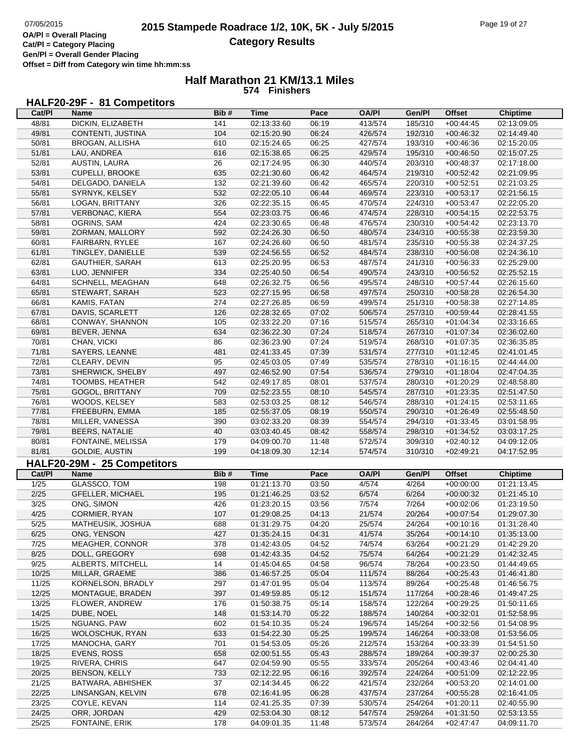## **Half Marathon 21 KM/13.1 Miles 574 Finishers**

## **HALF20-29F - 81 Competitors**

| Cat/PI         | <b>Name</b>                   | Bib#             | <b>Time</b>                | Pace           | <b>OA/PI</b>       | Gen/Pl             | <b>Offset</b>              | <b>Chiptime</b>            |
|----------------|-------------------------------|------------------|----------------------------|----------------|--------------------|--------------------|----------------------------|----------------------------|
| 48/81          | DICKIN, ELIZABETH             | 141              | 02:13:33.60                | 06:19          | 413/574            | 185/310            | $+00:44:45$                | 02:13:09.05                |
| 49/81          | CONTENTI, JUSTINA             | 104              | 02:15:20.90                | 06:24          | 426/574            | 192/310            | $+00:46:32$                | 02:14:49.40                |
| 50/81          | BROGAN, ALLISHA               | 610              | 02:15:24.65                | 06:25          | 427/574            | 193/310            | $+00:46:36$                | 02:15:20.05                |
| 51/81          | LAU, ANDREA                   | 616              | 02:15:38.65                | 06:25          | 429/574            | 195/310            | $+00:46:50$                | 02:15:07.25                |
| 52/81          | AUSTIN, LAURA                 | 26               | 02:17:24.95                | 06:30          | 440/574            | 203/310            | $+00:48:37$                | 02:17:18.00                |
| 53/81          | <b>CUPELLI, BROOKE</b>        | 635              | 02:21:30.60                | 06:42          | 464/574            | 219/310            | $+00:52:42$                | 02:21:09.95                |
| 54/81          | DELGADO, DANIELA              | $\overline{132}$ | 02:21:39.60                | 06:42          | 465/574            | 220/310            | $+00:52:51$                | 02:21:03.25                |
| 55/81          | SYRNYK, KELSEY                | 532              | 02:22:05.10                | 06:44          | 469/574            | 223/310            | $+00:53:17$                | 02:21:56.15                |
| 56/81          | LOGAN, BRITTANY               | 326              | 02:22:35.15                | 06:45          | 470/574            | 224/310            | $+00:53:47$                | 02:22:05.20                |
| 57/81          | VERBONAC, KIERA               | 554              | 02:23:03.75                | 06:46          | 474/574            | 228/310            | $+00:54:15$                | 02:22:53.75                |
| 58/81          | OGRINS, SAM                   | 424              | 02:23:30.65                | 06:48          | 476/574            | 230/310            | $+00:54:42$                | 02:23:13.70                |
| 59/81          | ZORMAN, MALLORY               | 592              | 02:24:26.30                | 06:50          | 480/574            | 234/310            | $+00:55:38$                | 02:23:59.30                |
| 60/81          | FAIRBARN, RYLEE               | 167              | 02:24:26.60                | 06:50          | 481/574            | 235/310            | $+00:55:38$                | 02:24:37.25                |
| 61/81          | TINGLEY, DANIELLE             | 539              | 02:24:56.55                | 06:52          | 484/574            | 238/310            | $+00:56:08$                | 02:24:36.10                |
| 62/81          | GAUTHIER, SARAH               | 613              | 02:25:20.95                | 06:53          | 487/574            | 241/310            | $+00:56:33$                | 02:25:29.00                |
| 63/81          | LUO, JENNIFER                 | 334              | 02:25:40.50                | 06:54          | 490/574            | 243/310            | $+00:56:52$                | 02:25:52.15                |
| 64/81          | SCHNELL, MEAGHAN              | 648              | 02:26:32.75                | 06:56          | 495/574            | 248/310            | $+00:57:44$                | 02:26:15.60                |
| 65/81          | STEWART, SARAH                | 523              | 02:27:15.95                | 06:58          | 497/574            | 250/310            | $+00:58:28$                | 02:26:54.30                |
| 66/81          | KAMIS, FATAN                  | 274              | 02:27:26.85                | 06:59          | 499/574            | 251/310            | $+00:58:38$                | 02:27:14.85                |
| 67/81          | DAVIS, SCARLETT               | 126              | 02:28:32.65                | 07:02          | 506/574            | 257/310            | $+00:59:44$                | 02:28:41.55                |
| 68/81          | CONWAY, SHANNON               | 105              | 02:33:22.20                | 07:16          | 515/574            | 265/310            | $+01:04:34$                | 02:33:16.65                |
| 69/81          | BEVER, JENNA                  | 634              | 02:36:22.30                | 07:24          | 518/574            | 267/310            | $+01:07:34$                | 02:36:02.60                |
| 70/81          | CHAN, VICKI                   | 86               | 02:36:23.90                | 07:24          | 519/574            | 268/310            | $+01:07:35$                | 02:36:35.85                |
| 71/81          | SAYERS, LEANNE                | 481              | 02:41:33.45                | 07:39          | 531/574            | 277/310            | $+01:12:45$                | 02:41:01.45                |
| 72/81          | CLEARY, DEVIN                 | 95               | 02:45:03.05                | 07:49          | 535/574            | 278/310            | $+01:16:15$                | 02:44:44.00                |
| 73/81          | SHERWICK, SHELBY              | 497              | 02:46:52.90                | 07:54          | 536/574            | 279/310            | $+01:18:04$                | 02:47:04.35                |
| 74/81          | TOOMBS, HEATHER               | 542              | 02:49:17.85                | 08:01          | 537/574            | 280/310            | $+01:20:29$                | 02:48:58.80                |
| 75/81          | GOGOL, BRITTANY               | 709              | 02:52:23.55                | 08:10          | 545/574            | 287/310            | $+01:23:35$                | 02:51:47.50                |
| 76/81          | WOODS, KELSEY                 | 583              | 02:53:03.25                | 08:12          | 546/574            | 288/310            | $+01:24:15$                | 02:53:11.65                |
| 77/81          | FREEBURN, EMMA                | 185              | 02:55:37.05                | 08:19          | 550/574            | 290/310            | $+01:26:49$                | 02:55:48.50                |
| 78/81          | MILLER, VANESSA               | 390              | 03:02:33.20                | 08:39          | 554/574            | 294/310            | $+01:33:45$                | 03:01:58.95                |
|                |                               |                  |                            |                |                    |                    |                            |                            |
|                |                               |                  |                            |                |                    |                    |                            |                            |
| 79/81          | <b>BEERS, NATALIE</b>         | 40               | 03:03:40.45                | 08:42          | 558/574            | 298/310            | $+01:34:52$                | 03:03:17.25                |
| 80/81          | FONTAINE, MELISSA             | 179              | 04:09:00.70                | 11:48          | 572/574            | 309/310            | $+02:40:12$                | 04:09:12.05                |
| 81/81          | GOLDIE, AUSTIN                | 199              | 04:18:09.30                | 12:14          | 574/574            | 310/310            | $+02:49:21$                | 04:17:52.95                |
|                | HALF20-29M - 25 Competitors   |                  |                            |                |                    |                    |                            |                            |
| Cat/PI         | Name                          | Bib#             | <b>Time</b>                | Pace           | <b>OA/PI</b>       | Gen/Pl             | <b>Offset</b>              | <b>Chiptime</b>            |
| 1/25           | GLASSCO, TOM                  | 198              | 01:21:13.70                | 03:50          | 4/574              | 4/264              | $+00:00:00$                | 01:21:13.45                |
| 2/25           | <b>GFELLER, MICHAEL</b>       | 195              | 01:21:46.25                | 03:52          | 6/574              | 6/264              | $+00:00:32$                | 01:21:45.10                |
| 3/25           | ONG, SIMON                    | 426              | 01:23:20.15                | 03:56          | 7/574              | 7/264              | $+00:02:06$                | 01:23:19.50                |
| 4/25           | CORMIER, RYAN                 | 107              | 01:29:08.25                | 04:13          | 21/574             | 20/264             | $+00:07:54$                | 01:29:07.30                |
| 5/25           | MATHEUSIK, JOSHUA             | 688              | 01:31:29.75                | 04:20          | 25/574             | 24/264             | $+00:10:16$                | 01:31:28.40                |
| 6/25           | ONG, YENSON                   | 427              | 01:35:24.15                | 04:31          | 41/574             | 35/264             | $+00:14:10$                | 01:35:13.00                |
| 7/25           | MEAGHER, CONNOR               | 378              | 01:42:43.05                | 04:52          | 74/574             | 63/264             | $+00:21:29$                | 01:42:29.20                |
| 8/25           | DOLL, GREGORY                 | 698              | 01:42:43.35                | 04:52          | 75/574             | 64/264             | $+00:21:29$                | 01:42:32.45                |
| 9/25           | ALBERTS, MITCHELL             | 14               | 01:45:04.65                | 04:58          | 96/574             | 78/264             | $+00:23:50$                | 01:44:49.65                |
| 10/25          | MILLAR, GRAEME                | 386              | 01:46:57.25                | 05:04          | 111/574            | 88/264             | $+00:25:43$                | 01:46:41.80                |
| 11/25          | KORNELSON, BRADLY             | 297              | 01:47:01.95                | 05:04          | 113/574            | 89/264             | $+00:25:48$                | 01:46:56.75                |
| 12/25          | MONTAGUE, BRADEN              | 397              | 01:49:59.85                | 05:12          | 151/574            | 117/264            | $+00:28:46$                | 01:49:47.25                |
| 13/25          | FLOWER, ANDREW                | 176              | 01:50:38.75                | 05:14          | 158/574            | 122/264            | $+00:29:25$                | 01:50:11.65                |
| 14/25          | DUBE, NOEL                    | 148              | 01:53:14.70                | 05:22          | 188/574            | 140/264            | $+00:32:01$                | 01:52:58.95                |
| 15/25          | NGUANG, PAW                   | 602              | 01:54:10.35                | 05:24          | 196/574            | 145/264            | $+00:32:56$                | 01:54:08.95                |
| 16/25          | <b>WOLOSCHUK, RYAN</b>        | 633              | 01:54:22.30                | 05:25          | 199/574            | 146/264            | $+00:33:08$                | 01:53:56.05                |
| 17/25          | MANOCHA, GARY                 | 701              | 01:54:53.05                | 05:26          | 212/574            | 153/264            | $+00:33:39$                | 01:54:51.50                |
| 18/25          | EVENS, ROSS                   | 658              | 02:00:51.55                | 05:43          | 288/574            | 189/264            | $+00:39:37$                | 02:00:25.30                |
| 19/25          | RIVERA, CHRIS                 | 647              | 02:04:59.90                | 05:55          | 333/574            | 205/264            | $+00:43:46$                | 02:04:41.40                |
| 20/25          | <b>BENSON, KELLY</b>          | 733              | 02:12:22.95                | 06:16          | 392/574            | 224/264            | $+00:51:09$                | 02:12:22.95                |
| 21/25          | BATWARA, ABHISHEK             | 37               | 02:14:34.45                | 06:22          | 421/574            | 232/264            | $+00:53:20$                | 02:14:01.00                |
| 22/25          | LINSANGAN, KELVIN             | 678              | 02:16:41.95                | 06:28          | 437/574            | 237/264            | $+00:55:28$                | 02:16:41.05                |
| 23/25          | COYLE, KEVAN                  | 114              | 02:41:25.35                | 07:39          | 530/574            | 254/264            | $+01:20:11$                | 02:40:55.90                |
| 24/25<br>25/25 | ORR, JORDAN<br>FONTAINE, ERIK | 429<br>178       | 02:53:04.30<br>04:09:01.35 | 08:12<br>11:48 | 547/574<br>573/574 | 259/264<br>264/264 | $+01:31:50$<br>$+02:47:47$ | 02:53:13.55<br>04:09:11.70 |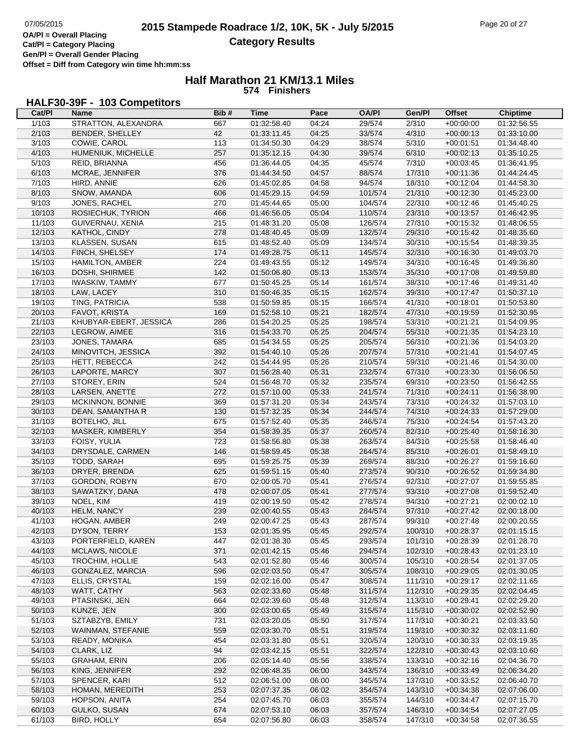## **Half Marathon 21 KM/13.1 Miles 574 Finishers**

# **HALF30-39F - 103 Competitors**

| Cat/PI | Name                   | Bib# | <b>Time</b> | Pace  | <b>OA/PI</b> | Gen/Pl  | <b>Offset</b> | <b>Chiptime</b> |
|--------|------------------------|------|-------------|-------|--------------|---------|---------------|-----------------|
| 1/103  | STRATTON, ALEXANDRA    | 667  | 01:32:58.40 | 04:24 | 29/574       | 2/310   | $+00:00:00$   | 01:32:56.55     |
| 2/103  | BENDER, SHELLEY        | 42   | 01:33:11.45 | 04:25 | 33/574       | 4/310   | $+00:00:13$   | 01:33:10.00     |
| 3/103  | COWIE, CAROL           | 113  | 01:34:50.30 | 04:29 | 38/574       | 5/310   | $+00:01:51$   | 01:34:48.40     |
| 4/103  | HUMENIUK, MICHELLE     | 257  | 01:35:12.15 | 04:30 | 39/574       | 6/310   | $+00:02:13$   | 01:35:10.25     |
| 5/103  | REID, BRIANNA          | 456  | 01:36:44.05 | 04:35 | 45/574       | 7/310   | $+00:03:45$   | 01:36:41.95     |
| 6/103  | MCRAE, JENNIFER        | 376  | 01:44:34.50 | 04:57 | 88/574       | 17/310  | $+00:11:36$   | 01:44:24.45     |
| 7/103  | HIRD, ANNIE            | 626  | 01:45:02.85 | 04:58 | 94/574       | 18/310  | $+00:12:04$   | 01:44:58.30     |
| 8/103  | SNOW, AMANDA           | 606  | 01:45:29.15 | 04:59 | 101/574      | 21/310  | $+00:12:30$   | 01:45:23.00     |
| 9/103  | JONES, RACHEL          | 270  | 01:45:44.65 | 05:00 | 104/574      | 22/310  | $+00:12:46$   | 01:45:40.25     |
| 10/103 | ROSIECHUK, TYRION      | 466  | 01:46:56.05 | 05:04 | 110/574      | 23/310  | $+00:13:57$   | 01:46:42.95     |
| 11/103 | GUIVERNAU, XENIA       | 215  | 01:48:31.20 | 05:08 | 126/574      | 27/310  | $+00:15:32$   | 01:48:06.55     |
| 12/103 | KATHOL, CINDY          | 278  | 01:48:40.45 | 05:09 | 132/574      | 29/310  | $+00.15.42$   | 01:48:35.60     |
| 13/103 | KLASSEN, SUSAN         | 615  | 01:48:52.40 | 05:09 | 134/574      | 30/310  | $+00:15:54$   | 01:48:39.35     |
| 14/103 | FINCH, SHELSEY         | 174  | 01:49:28.75 | 05:11 | 145/574      | 32/310  | $+00:16:30$   | 01:49:03.70     |
| 15/103 | HAMILTON, AMBER        | 224  | 01:49:43.55 | 05:12 | 149/574      | 34/310  | $+00:16:45$   | 01:49:36.80     |
| 16/103 | DOSHI, SHIRMEE         | 142  | 01:50:06.80 | 05:13 | 153/574      | 35/310  | $+00:17:08$   | 01:49:59.80     |
| 17/103 | <b>IWASKIW, TAMMY</b>  | 677  | 01:50:45.25 | 05:14 | 161/574      | 38/310  | $+00:17:46$   | 01:49:31.40     |
| 18/103 | LAW, LACEY             | 310  | 01:50:46.35 | 05:15 | 162/574      | 39/310  | $+00.17.47$   | 01:50:37.10     |
| 19/103 | TING, PATRICIA         | 538  | 01:50:59.85 | 05:15 | 166/574      | 41/310  | $+00:18:01$   | 01:50:53.80     |
| 20/103 | FAVOT, KRISTA          | 169  | 01:52:58.10 | 05:21 | 182/574      | 47/310  | $+00:19:59$   | 01:52:30.95     |
| 21/103 | KHUBYAR-EBERT, JESSICA | 286  | 01:54:20.25 | 05:25 | 198/574      | 53/310  | $+00:21:21$   | 01:54:09.95     |
| 22/103 | LEGROW, AIMEE          | 316  | 01:54:33.70 | 05:25 | 204/574      | 55/310  | $+00:21:35$   | 01:54:23.10     |
| 23/103 | JONES, TAMARA          | 685  | 01:54:34.55 | 05:25 | 205/574      | 56/310  | $+00:21:36$   | 01:54:03.20     |
| 24/103 | MINOVITCH, JESSICA     | 392  | 01:54:40.10 | 05:26 | 207/574      | 57/310  | $+00:21:41$   | 01:54:07.45     |
| 25/103 | HETT, REBECCA          | 242  | 01:54:44.95 | 05:26 | 210/574      | 59/310  | $+00:21:46$   | 01:54:30.00     |
| 26/103 | LAPORTE, MARCY         | 307  | 01:56:28.40 | 05:31 | 232/574      | 67/310  | $+00:23:30$   | 01:56:06.50     |
| 27/103 | STOREY, ERIN           | 524  | 01:56:48.70 | 05:32 | 235/574      | 69/310  | $+00:23:50$   | 01:56:42.55     |
| 28/103 | LARSEN, ANETTE         | 272  | 01:57:10.00 | 05:33 | 241/574      | 71/310  | $+00:24:11$   | 01:56:38.90     |
| 29/103 | MCKINNON, BONNIE       | 369  | 01:57:31.20 | 05:34 | 243/574      | 73/310  | $+00:24:32$   | 01:57:03.10     |
| 30/103 | DEAN, SAMANTHA R       | 130  | 01:57:32.35 | 05:34 | 244/574      | 74/310  | $+00:24:33$   | 01:57:29.00     |
| 31/103 | <b>BOTELHO, JILL</b>   | 675  | 01:57:52.40 | 05:35 | 246/574      | 75/310  | $+00:24:54$   | 01:57:43.20     |
| 32/103 | MASKER, KIMBERLY       | 354  | 01:58:39.35 | 05:37 | 260/574      | 82/310  | $+00:25:40$   | 01:58:16.30     |
| 33/103 | FOISY, YULIA           | 723  | 01:58:56.80 | 05:38 | 263/574      | 84/310  | $+00:25:58$   | 01:58:46.40     |
| 34/103 | DRYSDALE, CARMEN       | 146  | 01:58:59.45 | 05:38 | 264/574      | 85/310  | $+00:26:01$   | 01:58:49.10     |
| 35/103 | TODD, SARAH            | 695  | 01:59:25.75 | 05:39 | 269/574      | 88/310  | $+00:26:27$   | 01:59:16.60     |
| 36/103 | DRYER, BRENDA          | 625  | 01:59:51.15 | 05:40 | 273/574      | 90/310  | $+00:26:52$   | 01:59:34.80     |
| 37/103 | GORDON, ROBYN          | 670  | 02:00:05.70 | 05:41 | 276/574      | 92/310  | $+00:27:07$   | 01:59:55.85     |
| 38/103 | SAWATZKY, DANA         | 478  | 02:00:07.05 | 05:41 | 277/574      | 93/310  | $+00:27:08$   | 01:59:52.40     |
| 39/103 | NOEL, KIM              | 419  | 02:00:19.50 | 05:42 | 278/574      | 94/310  | $+00:27:21$   | 02:00:02.10     |
| 40/103 | HELM, NANCY            | 239  | 02:00:40.55 | 05:43 | 284/574      | 97/310  | $+00:27:42$   | 02:00:18.00     |
| 41/103 | HOGAN, AMBER           | 249  | 02:00:47.25 | 05:43 | 287/574      | 99/310  | $+00:27:48$   | 02:00:20.55     |
| 42/103 | DYSON, TERRY           | 153  | 02:01:35.95 | 05:45 | 292/574      | 100/310 | $+00:28:37$   | 02:01:15.15     |
| 43/103 | PORTERFIELD, KAREN     | 447  | 02:01:38.30 | 05:45 | 293/574      | 101/310 | $+00:28:39$   | 02:01:28.70     |
| 44/103 | MCLAWS, NICOLE         | 371  | 02:01:42.15 | 05:46 | 294/574      | 102/310 | $+00:28:43$   | 02:01:23.10     |
| 45/103 | <b>TROCHIM, HOLLIE</b> | 543  | 02:01:52.80 | 05:46 | 300/574      | 105/310 | $+00:28:54$   | 02:01:37.05     |
| 46/103 | GONZALEZ, MARCIA       | 596  | 02:02:03.50 | 05:47 | 305/574      | 108/310 | $+00:29:05$   | 02:01:30.05     |
| 47/103 | ELLIS, CRYSTAL         | 159  | 02:02:16.00 | 05:47 | 308/574      | 111/310 | $+00:29:17$   | 02:02:11.65     |
| 48/103 | WATT, CATHY            | 563  | 02:02:33.60 | 05:48 | 311/574      | 112/310 | $+00:29:35$   | 02:02:04.45     |
| 49/103 | PTASINSKI, JEN         | 664  | 02:02:39.60 | 05:48 | 312/574      | 113/310 | $+00:29:41$   | 02:02:29.20     |
| 50/103 | KUNZE, JEN             | 300  | 02:03:00.65 | 05:49 | 315/574      | 115/310 | $+00:30:02$   | 02:02:52.90     |
| 51/103 | SZTABZYB, EMILY        | 731  | 02:03:20.05 | 05:50 | 317/574      | 117/310 | $+00:30:21$   | 02:03:33.50     |
| 52/103 | WAINMAN, STEFANIE      | 559  | 02:03:30.70 | 05:51 | 319/574      | 119/310 | $+00:30:32$   | 02:03:11.60     |
| 53/103 | READY, MONIKA          | 454  | 02:03:31.80 | 05:51 | 320/574      | 120/310 | $+00:30:33$   | 02:03:19.35     |
| 54/103 | CLARK, LIZ             | 94   | 02:03:42.15 | 05:51 | 322/574      | 122/310 | $+00:30:43$   | 02:03:10.60     |
| 55/103 | <b>GRAHAM, ERIN</b>    | 206  | 02:05:14.40 | 05:56 | 338/574      | 133/310 | $+00:32:16$   | 02:04:36.70     |
| 56/103 | KING, JENNIFER         | 292  | 02:06:48.35 | 06:00 | 343/574      | 136/310 | $+00:33:49$   | 02:06:34.20     |
| 57/103 | SPENCER, KARI          | 512  | 02:06:51.00 | 06:00 | 345/574      | 137/310 | $+00:33:52$   | 02:06:40.70     |
| 58/103 | HOMAN, MEREDITH        | 253  | 02:07:37.35 | 06:02 | 354/574      | 143/310 | $+00:34:38$   | 02:07:06.00     |
| 59/103 | HOPSON, ANITA          | 254  | 02:07:45.70 | 06:03 | 355/574      | 144/310 | $+00:34:47$   | 02:07:15.70     |
| 60/103 | GULKO, SUSAN           | 674  | 02:07:53.10 | 06:03 | 357/574      | 146/310 | $+00:34:54$   | 02:07:27.05     |
| 61/103 | <b>BIRD, HOLLY</b>     | 654  | 02:07:56.80 | 06:03 | 358/574      | 147/310 | $+00:34:58$   | 02:07:36.55     |
|        |                        |      |             |       |              |         |               |                 |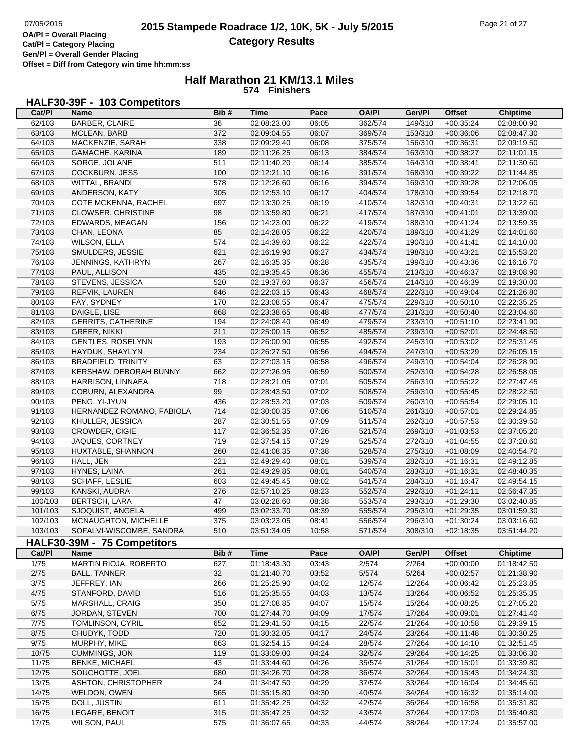г

**Cat/Pl = Category Placing Gen/Pl = Overall Gender Placing Offset = Diff from Category win time hh:mm:ss**

## **Half Marathon 21 KM/13.1 Miles 574 Finishers**

## **HALF30-39F - 103 Competitors**

| Cat/PI         | Name                        | Bib#            | Time        | Pace  | <b>OA/PI</b> | Gen/Pl  | <b>Offset</b> | Chiptime        |
|----------------|-----------------------------|-----------------|-------------|-------|--------------|---------|---------------|-----------------|
| 62/103         | BARBER, CLAIRE              | $\overline{36}$ | 02:08:23.00 | 06:05 | 362/574      | 149/310 | $+00:35:24$   | 02:08:00.90     |
| 63/103         | MCLEAN, BARB                | 372             | 02:09:04.55 | 06:07 | 369/574      | 153/310 | $+00:36:06$   | 02:08:47.30     |
| 64/103         | MACKENZIE, SARAH            | 338             | 02:09:29.40 | 06:08 | 375/574      | 156/310 | $+00:36:31$   | 02:09:19.50     |
| 65/103         | GAMACHE, KARINA             | 189             | 02:11:26.25 | 06:13 | 384/574      | 163/310 | $+00:38:27$   | 02:11:01.15     |
|                |                             |                 |             |       |              |         |               |                 |
| 66/103         | SORGE, JOLANE               | 511             | 02:11:40.20 | 06:14 | 385/574      | 164/310 | $+00:38:41$   | 02:11:30.60     |
| 67/103         | <b>COCKBURN, JESS</b>       | 100             | 02:12:21.10 | 06:16 | 391/574      | 168/310 | $+00:39:22$   | 02:11:44.85     |
| 68/103         | WITTAL, BRANDI              | 578             | 02:12:26.60 | 06:16 | 394/574      | 169/310 | $+00:39:28$   | 02:12:06.05     |
| 69/103         | ANDERSON, KATY              | 305             | 02:12:53.10 | 06:17 | 404/574      | 178/310 | $+00:39:54$   | 02:12:18.70     |
| 70/103         | COTE MCKENNA, RACHEL        | 697             | 02:13:30.25 | 06:19 | 410/574      | 182/310 | $+00:40:31$   | 02:13:22.60     |
| 71/103         | <b>CLOWSER, CHRISTINE</b>   | 98              | 02:13:59.80 | 06:21 | 417/574      | 187/310 | $+00:41:01$   | 02:13:39.00     |
| 72/103         | EDWARDS, MEAGAN             | 156             | 02:14:23.00 | 06:22 | 419/574      | 188/310 | $+00:41:24$   | 02:13:59.35     |
| 73/103         | CHAN, LEONA                 | 85              | 02:14:28.05 | 06:22 | 420/574      | 189/310 | $+00:41:29$   | 02:14:01.60     |
| 74/103         | <b>WILSON, ELLA</b>         | 574             | 02:14:39.60 | 06:22 | 422/574      | 190/310 | $+00:41:41$   | 02:14:10.00     |
| 75/103         | SMULDERS, JESSIE            | 621             | 02:16:19.90 | 06:27 | 434/574      | 198/310 | $+00:43:21$   | 02:15:53.20     |
| 76/103         | JENNINGS, KATHRYN           | 267             | 02:16:35.35 | 06:28 | 435/574      | 199/310 | $+00:43:36$   | 02:16:16.70     |
| 77/103         | PAUL, ALLISON               | 435             | 02:19:35.45 | 06:36 | 455/574      | 213/310 | $+00.46.37$   | 02:19:08.90     |
| 78/103         | STEVENS, JESSICA            | 520             | 02:19:37.60 | 06:37 | 456/574      | 214/310 | $+00:46:39$   | 02:19:30.00     |
| 79/103         | REFVIK, LAUREN              | 646             | 02:22:03.15 | 06:43 | 468/574      | 222/310 | $+00:49:04$   | 02:21:26.80     |
| 80/103         | FAY, SYDNEY                 | 170             | 02:23:08.55 | 06:47 | 475/574      | 229/310 | $+00:50:10$   | 02:22:35.25     |
| 81/103         | DAIGLE, LISE                | 668             | 02:23:38.65 | 06:48 | 477/574      | 231/310 | $+00:50:40$   | 02:23:04.60     |
|                |                             |                 |             |       |              |         |               |                 |
| 82/103         | <b>GERRITS, CATHERINE</b>   | 194             | 02:24:08.40 | 06:49 | 479/574      | 233/310 | $+00:51:10$   | 02:23:41.90     |
| 83/103         | <b>GREER, NIKKI</b>         | 211             | 02:25:00.15 | 06:52 | 485/574      | 239/310 | $+00:52:01$   | 02:24:48.50     |
| 84/103         | <b>GENTLES, ROSELYNN</b>    | 193             | 02:26:00.90 | 06:55 | 492/574      | 245/310 | $+00:53:02$   | 02:25:31.45     |
| 85/103         | HAYDUK, SHAYLYN             | 234             | 02:26:27.50 | 06:56 | 494/574      | 247/310 | $+00:53:29$   | 02:26:05.15     |
| 86/103         | <b>BRADFIELD, TRINITY</b>   | 63              | 02:27:03.15 | 06:58 | 496/574      | 249/310 | $+00:54:04$   | 02:26:28.90     |
| 87/103         | KERSHAW, DEBORAH BUNNY      | 662             | 02:27:26.95 | 06:59 | 500/574      | 252/310 | $+00:54:28$   | 02:26:58.05     |
| 88/103         | HARRISON, LINNAEA           | 718             | 02:28:21.05 | 07:01 | 505/574      | 256/310 | $+00:55:22$   | 02:27:47.45     |
| 89/103         | COBURN, ALEXANDRA           | 99              | 02:28:43.50 | 07:02 | 508/574      | 259/310 | $+00:55:45$   | 02:28:22.50     |
| 90/103         | PENG, YI-JYUN               | 436             | 02:28:53.20 | 07:03 | 509/574      | 260/310 | $+00:55:54$   | 02:29:05.10     |
| 91/103         | HERNANDEZ ROMANO, FABIOLA   | 714             | 02:30:00.35 | 07:06 | 510/574      | 261/310 | $+00:57:01$   | 02:29:24.85     |
| 92/103         | KHULLER, JESSICA            | 287             | 02:30:51.55 | 07:09 | 511/574      | 262/310 | $+00:57:53$   | 02:30:39.50     |
| 93/103         | CROWDER, CIGIE              | 117             | 02:36:52.35 | 07:26 | 521/574      | 269/310 | $+01:03:53$   | 02:37:05.20     |
| 94/103         | JAQUES, CORTNEY             | 719             | 02:37:54.15 | 07:29 | 525/574      | 272/310 | $+01:04:55$   | 02:37:20.60     |
| 95/103         | HUXTABLE, SHANNON           | 260             | 02:41:08.35 | 07:38 | 528/574      | 275/310 | $+01:08:09$   | 02:40:54.70     |
| 96/103         | HALL, JEN                   | 221             | 02:49:29.40 | 08:01 | 539/574      | 282/310 | $+01:16:31$   | 02:49:12.85     |
| 97/103         | HYNES, LAINA                | 261             | 02:49:29.85 | 08:01 | 540/574      | 283/310 | $+01:16:31$   | 02:48:40.35     |
| 98/103         | SCHAFF, LESLIE              | 603             | 02:49:45.45 | 08:02 | 541/574      | 284/310 | $+01:16:47$   | 02:49:54.15     |
|                |                             |                 |             |       |              |         |               |                 |
| 99/103         | KANSKI, AUDRA               | 276             | 02:57:10.25 | 08:23 | 552/574      | 292/310 | $+01:24:11$   | 02:56:47.35     |
| 100/103        | <b>BERTSCH, LARA</b>        | 47              | 03:02:28.60 | 08:38 | 553/574      | 293/310 | $+01:29:30$   | 03:02:40.85     |
| 101/103        | SJOQUIST, ANGELA            | 499             | 03:02:33.70 | 08:39 | 555/574      | 295/310 | $+01:29:35$   | 03:01:59.30     |
| 102/103        | MCNAUGHTON, MICHELLE        | 375             | 03:03:23.05 | 08:41 | 556/574      | 296/310 | $+01:30:24$   | 03:03:16.60     |
| 103/103        | SOFALVI-WISCOMBE, SANDRA    | 510             | 03:51:34.05 | 10:58 | 571/574      | 308/310 | $+02:18:35$   | 03:51:44.20     |
|                | HALF30-39M - 75 Competitors |                 |             |       |              |         |               |                 |
| Cat/PI         | Name                        | Bib#            | <b>Time</b> | Pace  | <b>OA/PI</b> | Gen/Pl  | <b>Offset</b> | <b>Chiptime</b> |
| $\frac{1}{75}$ | MARTIN RIOJA, ROBERTO       | 627             | 01:18:43.30 | 03:43 | 2/574        | 2/264   | $+00:00:00$   | 01:18:42.50     |
| 2/75           | <b>BALL, TANNER</b>         | 32              | 01:21:40.70 | 03:52 | 5/574        | 5/264   | $+00:02:57$   | 01:21:38.90     |
| 3/75           | JEFFREY, IAN                | 266             | 01:25:25.90 | 04:02 | 12/574       | 12/264  | $+00:06:42$   | 01:25:23.85     |
| 4/75           | STANFORD, DAVID             | 516             | 01:25:35.55 | 04:03 | 13/574       | 13/264  | $+00:06:52$   | 01:25:35.35     |
| $5/75$         | MARSHALL, CRAIG             | 350             | 01:27:08.85 | 04:07 | 15/574       | 15/264  | $+00:08:25$   | 01:27:05.20     |
| 6/75           | JORDAN, STEVEN              | 700             | 01:27:44.70 | 04:09 | 17/574       | 17/264  | $+00:09:01$   | 01:27:41.40     |
| $7/75$         | TOMLINSON, CYRIL            | 652             | 01:29:41.50 | 04:15 | 22/574       | 21/264  | $+00:10:58$   | 01:29:39.15     |
|                |                             |                 |             |       |              |         |               |                 |
| 8/75           | CHUDYK, TODD                | 720             | 01:30:32.05 | 04:17 | 24/574       | 23/264  | $+00:11:48$   | 01:30:30.25     |
| 9/75           | MURPHY, MIKE                | 663             | 01:32:54.15 | 04:24 | 28/574       | 27/264  | $+00:14:10$   | 01:32:51.45     |
| 10/75          | <b>CUMMINGS, JON</b>        | 119             | 01:33:09.00 | 04:24 | 32/574       | 29/264  | $+00:14:25$   | 01:33:06.30     |
| 11/75          | <b>BENKE, MICHAEL</b>       | 43              | 01:33:44.60 | 04:26 | 35/574       | 31/264  | $+00:15:01$   | 01:33:39.80     |
| 12/75          | SOUCHOTTE, JOEL             | 680             | 01:34:26.70 | 04:28 | 36/574       | 32/264  | $+00:15:43$   | 01:34:24.30     |
| 13/75          | ASHTON, CHRISTOPHER         | 24              | 01:34:47.50 | 04:29 | 37/574       | 33/264  | $+00:16:04$   | 01:34:45.60     |
| 14/75          | WELDON, OWEN                | 565             | 01:35:15.80 | 04:30 | 40/574       | 34/264  | $+00:16:32$   | 01:35:14.00     |
| 15/75          | DOLL, JUSTIN                | 611             | 01:35:42.25 | 04:32 | 42/574       | 36/264  | $+00:16:58$   | 01:35:31.80     |
| 16/75          | LEGARE, BENOIT              | 315             | 01:35:47.25 | 04:32 | 43/574       | 37/264  | $+00:17:03$   | 01:35:40.80     |
| 17/75          | <b>WILSON, PAUL</b>         | 575             | 01:36:07.65 | 04:33 | 44/574       | 38/264  | $+00:17:24$   | 01:35:57.00     |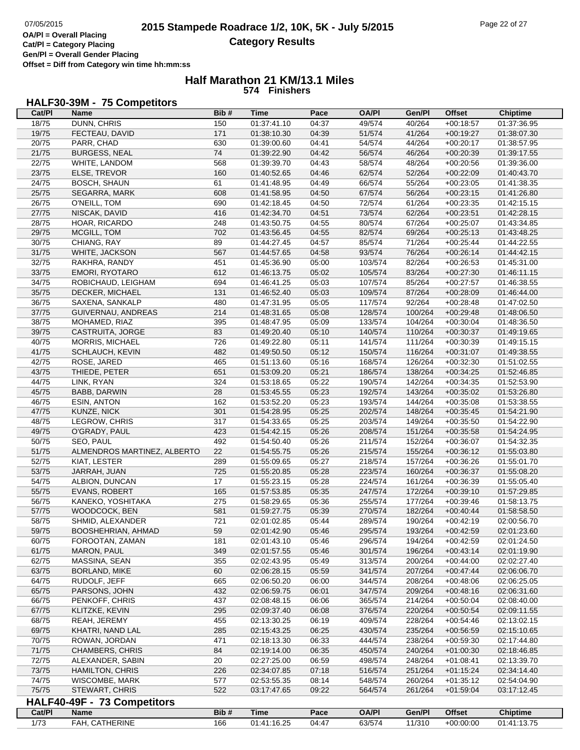#### **Half Marathon 21 KM/13.1 Miles 574 Finishers**

# **HALF30-39M - 75 Competitors**

| Cat/PI         | Name                               | Bib#       | <b>Time</b>                | Pace           | <b>OA/PI</b>       | Gen/Pl           | <b>Offset</b>              | <b>Chiptime</b>            |
|----------------|------------------------------------|------------|----------------------------|----------------|--------------------|------------------|----------------------------|----------------------------|
| 18/75          | DUNN, CHRIS                        | 150        | 01:37:41.10                | 04:37          | 49/574             | 40/264           | $+00:18:57$                | 01:37:36.95                |
| 19/75          | FECTEAU, DAVID                     | 171        | 01:38:10.30                | 04:39          | 51/574             | 41/264           | $+00:19:27$                | 01:38:07.30                |
| 20/75          | PARR, CHAD                         | 630        | 01:39:00.60                | 04:41          | 54/574             | 44/264           | $+00:20:17$                | 01:38:57.95                |
| 21/75          | <b>BURGESS, NEAL</b>               | 74         | 01:39:22.90                | 04:42          | 56/574             | 46/264           | $+00:20:39$                | 01:39:17.55                |
| 22/75          | WHITE, LANDOM                      | 568        | 01:39:39.70                | 04:43          | 58/574             | 48/264           | $+00:20:56$                | 01:39:36.00                |
| 23/75          | ELSE, TREVOR                       | 160        | 01:40:52.65                | 04:46          | 62/574             | 52/264           | $+00:22:09$                | 01:40:43.70                |
| 24/75          | <b>BOSCH, SHAUN</b>                | 61         | 01:41:48.95                | 04:49          | 66/574             | 55/264           | $+00:23:05$                | 01:41:38.35                |
| 25/75          | SEGARRA, MARK                      | 608        | 01:41:58.95                | 04:50          | 67/574             | 56/264           | $+00:23:15$                | 01:41:26.80                |
| 26/75          | O'NEILL, TOM                       | 690        | 01:42:18.45                | 04:50          | 72/574             | 61/264           | $+00:23:35$                | 01:42:15.15                |
| 27/75          | NISCAK, DAVID                      | 416        | 01:42:34.70                | 04:51          | 73/574             | 62/264           | $+00:23:51$                | 01:42:28.15                |
| 28/75          | HOAR, RICARDO                      | 248        | 01:43:50.75                | 04:55          | 80/574             | 67/264           | $+00:25:07$                | 01:43:34.85                |
| 29/75          | MCGILL, TOM                        | 702        | 01:43:56.45                | 04:55          | 82/574             | 69/264           | $+00:25:13$                | 01:43:48.25                |
| 30/75          | CHIANG, RAY                        | 89         | 01:44:27.45                | 04:57          | 85/574             | 71/264           | $+00:25:44$                | 01:44:22.55                |
| 31/75          | WHITE, JACKSON                     | 567        | 01:44:57.65                | 04:58          | 93/574             | 76/264           | $+00:26:14$                | 01:44:42.15                |
| 32/75          | RAKHRA, RANDY                      | 451        | 01:45:36.90                | 05:00          | 103/574            | 82/264           | $+00:26:53$                | 01:45:31.00                |
| 33/75          | EMORI, RYOTARO                     | 612        | 01:46:13.75                | 05:02          | 105/574            | 83/264           | $+00:27:30$                | 01:46:11.15                |
|                |                                    | 694        |                            | 05:03          |                    |                  |                            |                            |
| 34/75          | ROBICHAUD, LEIGHAM                 |            | 01:46:41.25                |                | 107/574            | 85/264           | $+00:27:57$                | 01:46:38.55                |
| 35/75<br>36/75 | DECKER, MICHAEL<br>SAXENA, SANKALP | 131<br>480 | 01:46:52.40<br>01:47:31.95 | 05:03<br>05:05 | 109/574<br>117/574 | 87/264<br>92/264 | $+00:28:09$<br>$+00:28:48$ | 01:46:44.00<br>01:47:02.50 |
| 37/75          | GUIVERNAU, ANDREAS                 | 214        | 01:48:31.65                |                |                    | 100/264          |                            |                            |
|                |                                    |            |                            | 05:08          | 128/574            |                  | $+00:29:48$                | 01:48:06.50                |
| 38/75          | MOHAMED, RIAZ                      | 395        | 01:48:47.95                | 05:09          | 133/574            | 104/264          | $+00:30:04$                | 01:48:36.50                |
| 39/75          | CASTRUITA, JORGE                   | 83         | 01:49:20.40                | 05:10          | 140/574            | 110/264          | $+00:30:37$                | 01:49:19.65                |
| 40/75          | <b>MORRIS, MICHAEL</b>             | 726        | 01:49:22.80                | 05:11          | 141/574            | 111/264          | $+00:30:39$                | 01:49:15.15                |
| 41/75          | SCHLAUCH, KEVIN                    | 482        | 01:49:50.50                | 05:12          | 150/574            | 116/264          | $+00:31:07$                | 01:49:38.55                |
| 42/75          | ROSE, JARED                        | 465        | 01:51:13.60                | 05:16          | 168/574            | 126/264          | $+00:32:30$                | 01:51:02.55                |
| 43/75          | THIEDE, PETER                      | 651        | 01:53:09.20                | 05:21          | 186/574            | 138/264          | $+00:34:25$                | 01:52:46.85                |
| 44/75          | LINK, RYAN                         | 324        | 01:53:18.65                | 05:22          | 190/574            | 142/264          | $+00:34:35$                | 01:52:53.90                |
| 45/75          | BABB, DARWIN                       | 28         | 01:53:45.55                | 05:23          | 192/574            | 143/264          | $+00:35:02$                | 01:53:26.80                |
| 46/75          | <b>ESIN, ANTON</b>                 | 162        | 01:53:52.20                | 05:23          | 193/574            | 144/264          | $+00:35:08$                | 01:53:38.55                |
| 47/75          | KUNZE, NICK                        | 301        | 01:54:28.95                | 05:25          | 202/574            | 148/264          | $+00:35:45$                | 01:54:21.90                |
| 48/75          | LEGROW, CHRIS                      | 317        | 01:54:33.65                | 05:25          | 203/574            | 149/264          | $+00:35:50$                | 01:54:22.90                |
| 49/75          | O'GRADY, PAUL                      | 423        | 01:54:42.15                | 05:26          | 208/574            | 151/264          | $+00:35:58$                | 01:54:24.95                |
| 50/75          | SEO, PAUL                          | 492        | 01:54:50.40                | 05:26          | 211/574            | 152/264          | $+00:36:07$                | 01:54:32.35                |
| 51/75          | ALMENDROS MARTINEZ, ALBERTO        | 22         | 01:54:55.75                | 05:26          | 215/574            | 155/264          | $+00:36:12$                | 01:55:03.80                |
| 52/75          | KIAT, LESTER                       | 289        | 01:55:09.65                | 05:27          | 218/574            | 157/264          | $+00:36:26$                | 01:55:01.70                |
| 53/75          | JARRAH, JUAN                       | 725        | 01:55:20.85                | 05:28          | 223/574            | 160/264          | $+00:36:37$                | 01:55:08.20                |
| 54/75          | ALBION, DUNCAN                     | 17         | 01:55:23.15                | 05:28          | 224/574            | 161/264          | $+00:36:39$                | 01:55:05.40                |
| 55/75          | <b>EVANS, ROBERT</b>               | 165        | 01:57:53.85                | 05:35          | 247/574            | 172/264          | $+00:39:10$                | 01:57:29.85                |
| 56/75          | KANEKO, YOSHITAKA                  | 275        | 01:58:29.65                | 05:36          | 255/574            | 177/264          | $+00:39:46$                | 01:58:13.75                |
| 57/75          | WOODCOCK, BEN                      | 581        | 01:59:27.75                | 05:39          | 270/574            | 182/264          | $+00:40:44$                | 01:58:58.50                |
| 58/75          | SHMID, ALEXANDER                   | 721        | 02:01:02.85                | 05:44          | 289/574            | 190/264          | $+00:42:19$                | 02:00:56.70                |
| 59/75          | BOOSHEHRIAN, AHMAD                 | 59         | 02:01:42.90                | 05:46          | 295/574            | 193/264          | $+00:42:59$                | 02:01:23.60                |
| 60/75          | FOROOTAN, ZAMAN                    | 181        | 02:01:43.10                | 05:46          | 296/574            | 194/264          | $+00:42:59$                | 02:01:24.50                |
| 61/75          | MARON, PAUL                        | 349        | 02:01:57.55                | 05:46          | 301/574            | 196/264          | $+00:43:14$                | 02:01:19.90                |
| 62/75          | MASSINA, SEAN                      | 355        | 02:02:43.95                | 05:49          | 313/574            | 200/264          | $+00:44:00$                | 02:02:27.40                |
| 63/75          | <b>BORLAND, MIKE</b>               | 60         | 02:06:28.15                | 05:59          | 341/574            | 207/264          | $+00:47:44$                | 02:06:06.70                |
| 64/75          | RUDOLF, JEFF                       | 665        | 02:06:50.20                | 06:00          | 344/574            | 208/264          | $+00:48:06$                | 02:06:25.05                |
| 65/75          | PARSONS, JOHN                      | 432        | 02:06:59.75                | 06:01          | 347/574            | 209/264          | $+00:48:16$                | 02:06:31.60                |
| 66/75          | PENKOFF, CHRIS                     | 437        | 02:08:48.15                | 06:06          | 365/574            | 214/264          | $+00:50:04$                | 02:08:40.00                |
| 67/75          | KLITZKE, KEVIN                     | 295        | 02:09:37.40                | 06:08          | 376/574            | 220/264          | $+00:50:54$                | 02:09:11.55                |
| 68/75          | REAH, JEREMY                       | 455        | 02:13:30.25                | 06:19          | 409/574            | 228/264          | $+00.54:46$                | 02:13:02.15                |
| 69/75          | KHATRI, NAND LAL                   | 285        | 02:15:43.25                | 06:25          | 430/574            | 235/264          | $+00:56:59$                | 02:15:10.65                |
| 70/75          | ROWAN, JORDAN                      | 471        | 02:18:13.30                | 06:33          | 444/574            | 238/264          | $+00:59:30$                | 02:17:44.80                |
| 71/75          | <b>CHAMBERS, CHRIS</b>             | 84         | 02:19:14.00                | 06:35          | 450/574            | 240/264          | $+01:00:30$                | 02:18:46.85                |
| 72/75          | ALEXANDER, SABIN                   | 20         | 02:27:25.00                | 06:59          | 498/574            | 248/264          | $+01:08:41$                | 02:13:39.70                |
| 73/75          | <b>HAMILTON, CHRIS</b>             | 226        | 02:34:07.85                | 07:18          | 516/574            | 251/264          | $+01:15:24$                | 02:34:14.40                |
| 74/75          | WISCOMBE, MARK                     | 577        | 02:53:55.35                | 08:14          | 548/574            | 260/264          | $+01:35:12$                | 02:54:04.90                |
| 75/75          | STEWART, CHRIS                     | 522        | 03:17:47.65                | 09:22          | 564/574            | 261/264          | $+01:59:04$                | 03:17:12.45                |
|                | HALF40-49F - 73 Competitors        |            |                            |                |                    |                  |                            |                            |
|                |                                    |            |                            |                |                    |                  |                            |                            |
| Cat/PI         | <b>Name</b>                        | Bib#       | <b>Time</b>                | Pace           | <b>OA/PI</b>       | Gen/Pl           | <b>Offset</b>              | <b>Chiptime</b>            |
| 1/73           | FAH, CATHERINE                     | 166        | 01:41:16.25                | 04:47          | 63/574             | 11/310           | $+00:00:00$                | 01:41:13.75                |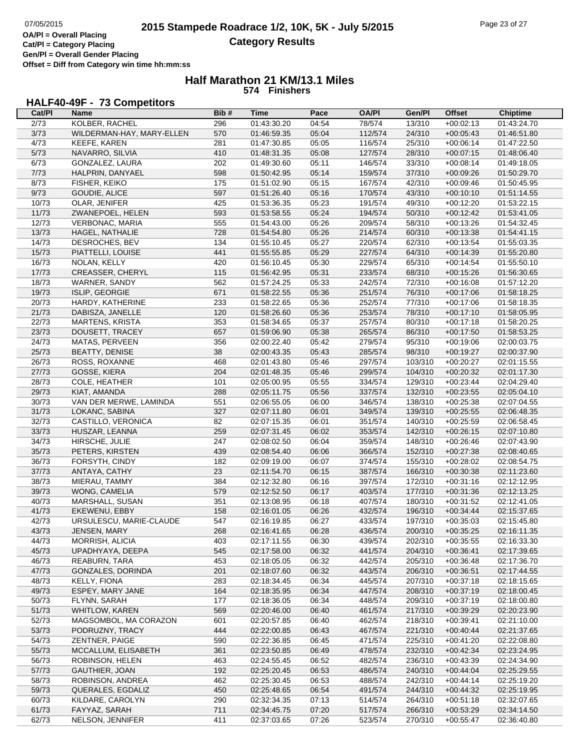**Gen/Pl = Overall Gender Placing Offset = Diff from Category win time hh:mm:ss**

### **Half Marathon 21 KM/13.1 Miles 574 Finishers**

## **HALF40-49F - 73 Competitors**

| Cat/PI         | Name                      | Bib# | <b>Time</b> | Pace  | <b>OA/PI</b> | Gen/Pl  | <b>Offset</b> | <b>Chiptime</b> |
|----------------|---------------------------|------|-------------|-------|--------------|---------|---------------|-----------------|
| 2/73           | KOLBER, RACHEL            | 296  | 01:43:30.20 | 04:54 | 78/574       | 13/310  | $+00:02:13$   | 01:43:24.70     |
| 3/73           | WILDERMAN-HAY, MARY-ELLEN | 570  | 01:46:59.35 | 05:04 | 112/574      | 24/310  | $+00:05:43$   | 01:46:51.80     |
| 4/73           | <b>KEEFE, KAREN</b>       | 281  | 01:47:30.85 | 05:05 | 116/574      | 25/310  | $+00:06:14$   | 01:47:22.50     |
| 5/73           | NAVARRO, SILVIA           | 410  | 01:48:31.35 | 05:08 | 127/574      | 28/310  | $+00:07:15$   | 01:48:06.40     |
| 6/73           | GONZALEZ, LAURA           | 202  | 01:49:30.60 | 05:11 | 146/574      | 33/310  | $+00:08:14$   | 01:49:18.05     |
| 7/73           | HALPRIN, DANYAEL          | 598  | 01:50:42.95 | 05:14 | 159/574      | 37/310  | $+00:09:26$   | 01:50:29.70     |
| 8/73           | FISHER, KEIKO             | 175  | 01:51:02.90 | 05:15 | 167/574      | 42/310  | $+00:09:46$   | 01:50:45.95     |
| 9/73           | GOUDIE, ALICE             | 597  | 01:51:26.40 | 05:16 | 170/574      | 43/310  | $+00:10:10$   | 01:51:14.55     |
| 10/73          | OLAR, JENIFER             | 425  | 01:53:36.35 | 05:23 | 191/574      | 49/310  | $+00:12:20$   | 01:53:22.15     |
| 11/73          | ZWANEPOEL, HELEN          | 593  | 01:53:58.55 | 05:24 | 194/574      | 50/310  | $+00:12:42$   | 01:53:41.05     |
| 12/73          | VERBONAC, MARIA           | 555  | 01:54:43.00 | 05:26 | 209/574      | 58/310  | $+00:13:26$   | 01:54:32.45     |
| 13/73          | HAGEL, NATHALIE           | 728  | 01:54:54.80 | 05:26 | 214/574      | 60/310  | $+00:13:38$   | 01:54:41.15     |
| 14/73          | DESROCHES, BEV            | 134  | 01:55:10.45 | 05:27 | 220/574      | 62/310  | $+00:13:54$   | 01:55:03.35     |
| 15/73          | PIATTELLI, LOUISE         | 441  | 01:55:55.85 | 05:29 | 227/574      | 64/310  | $+00:14:39$   | 01:55:20.80     |
| 16/73          | NOLAN, KELLY              | 420  | 01:56:10.45 | 05:30 | 229/574      | 65/310  | $+00:14:54$   | 01:55:50.10     |
| 17/73          | CREASSER, CHERYL          | 115  | 01:56:42.95 | 05:31 | 233/574      | 68/310  | $+00:15:26$   | 01:56:30.65     |
| 18/73          | WARNER, SANDY             | 562  | 01:57:24.25 | 05:33 | 242/574      | 72/310  | $+00:16:08$   | 01:57:12.20     |
| 19/73          | ISLIP, GEORGIE            | 671  | 01:58:22.55 | 05:36 | 251/574      | 76/310  | $+00:17:06$   | 01:58:18.25     |
| 20/73          | HARDY, KATHERINE          | 233  | 01:58:22.65 | 05:36 | 252/574      | 77/310  | $+00:17:06$   | 01:58:18.35     |
| 21/73          | DABISZA, JANELLE          | 120  | 01:58:26.60 | 05:36 | 253/574      | 78/310  | $+00:17:10$   | 01:58:05.95     |
| 22/73          | <b>MARTENS, KRISTA</b>    | 353  | 01:58:34.65 | 05:37 | 257/574      | 80/310  | $+00:17:18$   | 01:58:20.25     |
|                |                           | 657  | 01:59:06.90 |       |              |         |               |                 |
| 23/73          | DOUSETT, TRACEY           |      |             | 05:38 | 265/574      | 86/310  | $+00:17:50$   | 01:58:53.25     |
| 24/73<br>25/73 | MATAS, PERVEEN            | 356  | 02:00:22.40 | 05:42 | 279/574      | 95/310  | $+00:19:06$   | 02:00:03.75     |
| 26/73          | <b>BEATTY, DENISE</b>     | 38   | 02:00:43.35 | 05:43 | 285/574      | 98/310  | $+00:19:27$   | 02:00:37.90     |
|                | ROSS, ROXANNE             | 468  | 02:01:43.80 | 05:46 | 297/574      | 103/310 | $+00:20:27$   | 02:01:15.55     |
| 27/73          | GOSSE, KIERA              | 204  | 02:01:48.35 | 05:46 | 299/574      | 104/310 | $+00:20:32$   | 02:01:17.30     |
| 28/73          | COLE, HEATHER             | 101  | 02:05:00.95 | 05:55 | 334/574      | 129/310 | $+00:23:44$   | 02:04:29.40     |
| 29/73          | KIAT, AMANDA              | 288  | 02:05:11.75 | 05:56 | 337/574      | 132/310 | $+00:23:55$   | 02:05:04.10     |
| 30/73          | VAN DER MERWE, LAMINDA    | 551  | 02:06:55.05 | 06:00 | 346/574      | 138/310 | $+00:25:38$   | 02:07:04.55     |
| 31/73          | LOKANC, SABINA            | 327  | 02:07:11.80 | 06:01 | 349/574      | 139/310 | $+00:25:55$   | 02:06:48.35     |
| 32/73          | CASTILLO, VERONICA        | 82   | 02:07:15.35 | 06:01 | 351/574      | 140/310 | $+00:25:59$   | 02:06:58.45     |
| 33/73          | HUSZAR, LEANNA            | 259  | 02:07:31.45 | 06:02 | 353/574      | 142/310 | $+00:26:15$   | 02:07:10.80     |
| 34/73          | HIRSCHE, JULIE            | 247  | 02:08:02.50 | 06:04 | 359/574      | 148/310 | $+00:26:46$   | 02:07:43.90     |
| 35/73          | PETERS, KIRSTEN           | 439  | 02:08:54.40 | 06:06 | 366/574      | 152/310 | $+00:27:38$   | 02:08:40.65     |
| 36/73          | FORSYTH, CINDY            | 182  | 02:09:19.00 | 06:07 | 374/574      | 155/310 | $+00:28:02$   | 02:08:54.75     |
| 37/73          | ANTAYA, CATHY             | 23   | 02:11:54.70 | 06:15 | 387/574      | 166/310 | $+00:30:38$   | 02:11:23.60     |
| 38/73          | MIERAU, TAMMY             | 384  | 02:12:32.80 | 06:16 | 397/574      | 172/310 | $+00:31:16$   | 02:12:12.95     |
| 39/73          | WONG, CAMELIA             | 579  | 02:12:52.50 | 06:17 | 403/574      | 177/310 | $+00:31:36$   | 02:12:13.25     |
| 40/73          | MARSHALL, SUSAN           | 351  | 02:13:08.95 | 06:18 | 407/574      | 180/310 | $+00:31:52$   | 02:12:41.05     |
| 41/73          | EKEWENU, EBBY             | 158  | 02:16:01.05 | 06:26 | 432/574      | 196/310 | $+00:34:44$   | 02:15:37.65     |
| 42/73          | URSULESCU, MARIE-CLAUDE   | 547  | 02:16:19.85 | 06:27 | 433/574      | 197/310 | $+00:35:03$   | 02:15:45.80     |
| 43/73          | JENSEN, MARY              | 268  | 02:16:41.65 | 06:28 | 436/574      | 200/310 | $+00:35:25$   | 02:16:11.35     |
| 44/73          | MORRISH, ALICIA           | 403  | 02:17:11.55 | 06:30 | 439/574      | 202/310 | $+00:35:55$   | 02:16:33.30     |
| 45/73          | UPADHYAYA, DEEPA          | 545  | 02:17:58.00 | 06:32 | 441/574      | 204/310 | $+00:36:41$   | 02:17:39.65     |
| 46/73          | <b>REABURN, TARA</b>      | 453  | 02:18:05.05 | 06:32 | 442/574      | 205/310 | $+00:36:48$   | 02:17:36.70     |
| 47/73          | GONZALES, DORINDA         | 201  | 02:18:07.60 | 06:32 | 443/574      | 206/310 | $+00:36:51$   | 02:17:44.55     |
| 48/73          | KELLY, FIONA              | 283  | 02:18:34.45 | 06:34 | 445/574      | 207/310 | $+00:37:18$   | 02:18:15.65     |
| 49/73          | ESPEY, MARY JANE          | 164  | 02:18:35.95 | 06:34 | 447/574      | 208/310 | $+00:37:19$   | 02:18:00.45     |
| 50/73          | FLYNN, SARAH              | 177  | 02:18:36.05 | 06:34 | 448/574      | 209/310 | $+00:37:19$   | 02:18:00.80     |
| 51/73          | <b>WHITLOW, KAREN</b>     | 569  | 02:20:46.00 | 06:40 | 461/574      | 217/310 | $+00:39:29$   | 02:20:23.90     |
| 52/73          | MAGSOMBOL, MA CORAZON     | 601  | 02:20:57.85 | 06:40 | 462/574      | 218/310 | $+00:39:41$   | 02:21:10.00     |
| 53/73          | PODRUZNY, TRACY           | 444  | 02:22:00.85 | 06:43 | 467/574      | 221/310 | $+00:40:44$   | 02:21:37.65     |
| 54/73          | ZENTNER, PAIGE            | 590  | 02:22:36.85 | 06:45 | 471/574      | 225/310 | $+00:41:20$   | 02:22:08.80     |
| 55/73          | MCCALLUM, ELISABETH       | 361  | 02:23:50.85 | 06:49 | 478/574      | 232/310 | $+00:42:34$   | 02:23:24.95     |
| 56/73          | ROBINSON, HELEN           | 463  | 02:24:55.45 | 06:52 | 482/574      | 236/310 | $+00:43:39$   | 02:24:34.90     |
| 57/73          | GAUTHIER, JOAN            | 192  | 02:25:20.45 | 06:53 | 486/574      | 240/310 | $+00:44:04$   | 02:25:29.55     |
| 58/73          | ROBINSON, ANDREA          | 462  | 02:25:30.45 | 06:53 | 488/574      | 242/310 | $+00:44:14$   | 02:25:19.20     |
| 59/73          | QUERALES, EGDALIZ         | 450  | 02:25:48.65 | 06:54 | 491/574      | 244/310 | $+00:44:32$   | 02:25:19.95     |
| 60/73          | KILDARE, CAROLYN          | 290  | 02:32:34.35 | 07:13 | 514/574      | 264/310 | $+00:51:18$   | 02:32:07.65     |
| 61/73          | FAYYAZ, SARAH             | 711  | 02:34:45.75 | 07:20 | 517/574      | 266/310 | $+00:53:29$   | 02:34:14.50     |
| 62/73          | NELSON, JENNIFER          | 411  | 02:37:03.65 | 07:26 | 523/574      | 270/310 | $+00:55:47$   | 02:36:40.80     |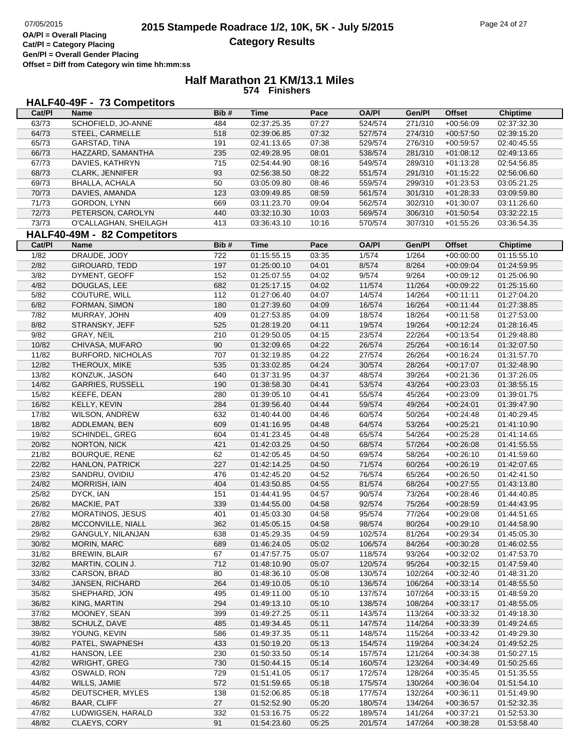## **Half Marathon 21 KM/13.1 Miles 574 Finishers**

## **HALF40-49F - 73 Competitors**

| Cat/PI | <b>Name</b>                 | Bib# | Time        | Pace  | <b>OA/PI</b> | Gen/Pl  | <b>Offset</b> | <b>Chiptime</b> |
|--------|-----------------------------|------|-------------|-------|--------------|---------|---------------|-----------------|
| 63/73  | SCHOFIELD, JO-ANNE          | 484  | 02:37:25.35 | 07:27 | 524/574      | 271/310 | $+00:56:09$   | 02:37:32.30     |
| 64/73  | STEEL, CARMELLE             | 518  | 02:39:06.85 | 07:32 | 527/574      | 274/310 | $+00:57:50$   | 02:39:15.20     |
| 65/73  | GARSTAD, TINA               | 191  | 02:41:13.65 | 07:38 | 529/574      | 276/310 | $+00:59:57$   | 02:40:45.55     |
| 66/73  | HAZZARD, SAMANTHA           | 235  | 02:49:28.95 | 08:01 | 538/574      | 281/310 | $+01:08:12$   | 02:49:13.65     |
| 67/73  | DAVIES, KATHRYN             | 715  | 02:54:44.90 | 08:16 | 549/574      | 289/310 | $+01:13:28$   | 02:54:56.85     |
| 68/73  | CLARK, JENNIFER             | 93   | 02:56:38.50 | 08:22 | 551/574      | 291/310 | $+01:15:22$   | 02:56:06.60     |
| 69/73  | BHALLA, ACHALA              | 50   | 03:05:09.80 | 08:46 | 559/574      | 299/310 | $+01:23:53$   | 03:05:21.25     |
| 70/73  | DAVIES, AMANDA              | 123  | 03:09:49.85 | 08:59 | 561/574      | 301/310 | $+01:28:33$   | 03:09:59.80     |
| 71/73  | GORDON, LYNN                | 669  | 03:11:23.70 | 09:04 | 562/574      | 302/310 | $+01:30:07$   | 03:11:26.60     |
| 72/73  | PETERSON, CAROLYN           | 440  | 03:32:10.30 | 10:03 | 569/574      | 306/310 | $+01:50:54$   | 03:32:22.15     |
| 73/73  |                             | 413  | 03:36:43.10 | 10:16 | 570/574      | 307/310 | $+01:55:26$   | 03:36:54.35     |
|        | O'CALLAGHAN, SHEILAGH       |      |             |       |              |         |               |                 |
|        | HALF40-49M - 82 Competitors |      |             |       |              |         |               |                 |
| Cat/PI | <b>Name</b>                 | Bib# | <b>Time</b> | Pace  | <b>OA/PI</b> | Gen/Pl  | <b>Offset</b> | <b>Chiptime</b> |
| 1/82   | DRAUDE, JODY                | 722  | 01:15:55.15 | 03:35 | 1/574        | 1/264   | $+00:00:00$   | 01:15:55.10     |
| 2/82   | <b>GIROUARD, TEDD</b>       | 197  | 01:25:00.10 | 04:01 | 8/574        | 8/264   | $+00:09:04$   | 01:24:59.95     |
| 3/82   | DYMENT, GEOFF               | 152  | 01:25:07.55 | 04:02 | 9/574        | 9/264   | $+00:09:12$   | 01:25:06.90     |
| 4/82   | DOUGLAS, LEE                | 682  | 01:25:17.15 | 04:02 | 11/574       | 11/264  | $+00:09:22$   | 01:25:15.60     |
| 5/82   | COUTURE, WILL               | 112  | 01:27:06.40 | 04:07 | 14/574       | 14/264  | $+00:11:11$   | 01:27:04.20     |
| 6/82   | FORMAN, SIMON               | 180  | 01:27:39.60 | 04:09 | 16/574       | 16/264  | $+00:11:44$   | 01:27:38.85     |
| 7/82   | MURRAY, JOHN                | 409  | 01:27:53.85 | 04:09 | 18/574       | 18/264  | $+00:11:58$   | 01:27:53.00     |
| 8/82   | STRANSKY, JEFF              | 525  | 01:28:19.20 | 04:11 | 19/574       | 19/264  | $+00:12:24$   | 01:28:16.45     |
| 9/82   | GRAY, NEIL                  | 210  | 01:29:50.05 | 04:15 | 23/574       | 22/264  | $+00:13:54$   | 01:29:48.80     |
| 10/82  | CHIVASA, MUFARO             | 90   | 01:32:09.65 | 04:22 | 26/574       | 25/264  | $+00:16:14$   | 01:32:07.50     |
| 11/82  | <b>BURFORD, NICHOLAS</b>    | 707  | 01:32:19.85 | 04:22 | 27/574       | 26/264  | $+00:16:24$   | 01:31:57.70     |
| 12/82  | THEROUX, MIKE               | 535  | 01:33:02.85 | 04:24 | 30/574       | 28/264  | $+00:17:07$   | 01:32:48.90     |
| 13/82  | KONZUK, JASON               | 640  | 01:37:31.95 | 04:37 | 48/574       | 39/264  | $+00:21:36$   | 01:37:26.05     |
| 14/82  | <b>GARRIES, RUSSELL</b>     | 190  | 01:38:58.30 | 04:41 | 53/574       | 43/264  | $+00:23:03$   | 01:38:55.15     |
| 15/82  | KEEFE, DEAN                 | 280  | 01:39:05.10 | 04:41 | 55/574       | 45/264  | $+00:23:09$   | 01:39:01.75     |
| 16/82  | KELLY, KEVIN                | 284  | 01:39:56.40 | 04:44 | 59/574       | 49/264  | $+00:24:01$   | 01:39:47.90     |
| 17/82  | <b>WILSON, ANDREW</b>       | 632  | 01:40:44.00 | 04:46 | 60/574       | 50/264  | $+00:24:48$   | 01:40:29.45     |
| 18/82  | ADDLEMAN, BEN               | 609  | 01:41:16.95 | 04:48 | 64/574       | 53/264  | $+00:25:21$   | 01:41:10.90     |
| 19/82  | SCHINDEL, GREG              | 604  | 01:41:23.45 | 04:48 | 65/574       | 54/264  | $+00:25:28$   | 01:41:14.65     |
| 20/82  | NORTON, NICK                | 421  | 01:42:03.25 | 04:50 | 68/574       | 57/264  | $+00:26:08$   | 01:41:55.55     |
| 21/82  | <b>BOURQUE, RENE</b>        | 62   | 01:42:05.45 | 04:50 | 69/574       | 58/264  | $+00:26:10$   | 01:41:59.60     |
| 22/82  |                             | 227  |             |       | 71/574       |         |               |                 |
|        | <b>HANLON, PATRICK</b>      |      | 01:42:14.25 | 04:50 |              | 60/264  | $+00:26:19$   | 01:42:07.65     |
| 23/82  | SANDRU, OVIDIU              | 476  | 01:42:45.20 | 04:52 | 76/574       | 65/264  | $+00:26:50$   | 01:42:41.50     |
| 24/82  | MORRISH, IAIN               | 404  | 01:43:50.85 | 04:55 | 81/574       | 68/264  | $+00:27:55$   | 01:43:13.80     |
| 25/82  | DYCK, IAN                   | 151  | 01:44:41.95 | 04:57 | 90/574       | 73/264  | $+00:28:46$   | 01:44:40.85     |
| 26/82  | MACKIE, PAT                 | 339  | 01:44:55.00 | 04:58 | 92/574       | 75/264  | $+00:28:59$   | 01:44:43.95     |
| 27/82  | MORATINOS, JESUS            | 401  | 01:45:03.30 | 04:58 | 95/574       | 77/264  | $+00:29:08$   | 01:44:51.65     |
| 28/82  | MCCONVILLE, NIALL           | 362  | 01:45:05.15 | 04:58 | 98/574       | 80/264  | $+00:29:10$   | 01:44:58.90     |
| 29/82  | GANGULY, NILANJAN           | 638  | 01:45:29.35 | 04:59 | 102/574      | 81/264  | $+00:29:34$   | 01:45:05.30     |
| 30/82  | MORIN, MARC                 | 689  | 01:46:24.05 | 05:02 | 106/574      | 84/264  | $+00:30:28$   | 01:46:02.55     |
| 31/82  | <b>BREWIN, BLAIR</b>        | 67   | 01:47:57.75 | 05:07 | 118/574      | 93/264  | $+00:32:02$   | 01:47:53.70     |
| 32/82  | MARTIN, COLIN J.            | 712  | 01:48:10.90 | 05:07 | 120/574      | 95/264  | $+00:32:15$   | 01:47:59.40     |
| 33/82  | CARSON, BRAD                | 80   | 01:48:36.10 | 05:08 | 130/574      | 102/264 | $+00:32:40$   | 01:48:31.20     |
| 34/82  | JANSEN, RICHARD             | 264  | 01:49:10.05 | 05:10 | 136/574      | 106/264 | $+00:33:14$   | 01:48:55.50     |
| 35/82  | SHEPHARD, JON               | 495  | 01:49:11.00 | 05:10 | 137/574      | 107/264 | $+00:33:15$   | 01:48:59.20     |
| 36/82  | KING, MARTIN                | 294  | 01:49:13.10 | 05:10 | 138/574      | 108/264 | $+00:33:17$   | 01:48:55.05     |
| 37/82  | MOONEY, SEAN                | 399  | 01:49:27.25 | 05:11 | 143/574      | 113/264 | $+00:33:32$   | 01:49:18.30     |
| 38/82  | SCHULZ, DAVE                | 485  | 01:49:34.45 | 05:11 | 147/574      | 114/264 | $+00:33:39$   | 01:49:24.65     |
| 39/82  | YOUNG, KEVIN                | 586  | 01:49:37.35 | 05:11 | 148/574      | 115/264 | $+00:33:42$   | 01:49:29.30     |
| 40/82  | PATEL, SWAPNESH             | 433  | 01:50:19.20 | 05:13 | 154/574      | 119/264 | $+00:34:24$   | 01:49:52.25     |
| 41/82  | HANSON, LEE                 | 230  | 01:50:33.50 | 05:14 | 157/574      | 121/264 | $+00:34:38$   | 01:50:27.15     |
| 42/82  | WRIGHT, GREG                | 730  | 01:50:44.15 | 05:14 | 160/574      | 123/264 | $+00:34:49$   | 01:50:25.65     |
| 43/82  | OSWALD, RON                 | 729  | 01:51:41.05 | 05:17 | 172/574      | 128/264 | $+00:35:45$   | 01:51:35.55     |
| 44/82  | WILLS, JAMIE                | 572  | 01:51:59.65 | 05:18 | 175/574      | 130/264 | $+00:36:04$   | 01:51:54.10     |
| 45/82  | DEUTSCHER, MYLES            | 138  | 01:52:06.85 | 05:18 | 177/574      | 132/264 | $+00:36:11$   | 01:51:49.90     |
| 46/82  | <b>BAAR, CLIFF</b>          | 27   | 01:52:52.90 | 05:20 | 180/574      | 134/264 | $+00:36:57$   | 01:52:32.35     |
| 47/82  | LUDWIGSEN, HARALD           | 332  | 01:53:16.75 | 05:22 | 189/574      | 141/264 | $+00:37:21$   | 01:52:53.30     |
| 48/82  | CLAEYS, CORY                | 91   | 01:54:23.60 | 05:25 | 201/574      | 147/264 | $+00:38:28$   | 01:53:58.40     |
|        |                             |      |             |       |              |         |               |                 |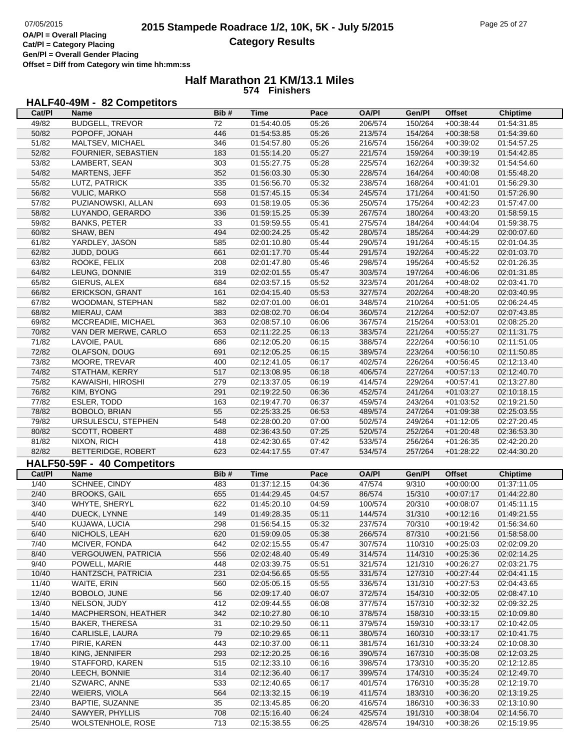## **Half Marathon 21 KM/13.1 Miles 574 Finishers**

## **HALF40-49M - 82 Competitors**

| Cat/Pl         | <b>Name</b>                                 | Bib#       | <b>Time</b>                | Pace           | <b>OA/PI</b>       | Gen/Pl             | <b>Offset</b>              | <b>Chiptime</b>            |
|----------------|---------------------------------------------|------------|----------------------------|----------------|--------------------|--------------------|----------------------------|----------------------------|
| 49/82          | <b>BUDGELL, TREVOR</b>                      | 72         | 01:54:40.05                | 05:26          | 206/574            | 150/264            | $+00:38:44$                | 01:54:31.85                |
| 50/82          | POPOFF, JONAH                               | 446        | 01:54:53.85                | 05:26          | 213/574            | 154/264            | $+00:38:58$                | 01:54:39.60                |
| 51/82          | MALTSEV, MICHAEL                            | 346        | 01:54:57.80                | 05:26          | 216/574            | 156/264            | $+00:39:02$                | 01:54:57.25                |
| 52/82          | FOURNIER, SEBASTIEN                         | 183        | 01:55:14.20                | 05:27          | 221/574            | 159/264            | $+00:39:19$                | 01:54:42.85                |
| 53/82          | LAMBERT, SEAN                               | 303        | 01:55:27.75                | 05:28          | 225/574            | 162/264            | $+00:39:32$                | 01:54:54.60                |
| 54/82          | MARTENS, JEFF                               | 352        | 01:56:03.30                | 05:30          | 228/574            | 164/264            | $+00:40:08$                | 01:55:48.20                |
| 55/82          | LUTZ, PATRICK                               | 335        | 01:56:56.70                | 05:32          | 238/574            | 168/264            | $+00:41:01$                | 01:56:29.30                |
| 56/82          | <b>VULIC, MARKO</b>                         | 558        | 01:57:45.15                | 05:34          | 245/574            | 171/264            | $+00:41:50$                | 01:57:26.90                |
| 57/82          | PUZIANOWSKI, ALLAN                          | 693        | 01:58:19.05                | 05:36          | 250/574            | 175/264            | $+00:42:23$                | 01:57:47.00                |
| 58/82          | LUYANDO, GERARDO                            | 336        | 01:59:15.25                | 05:39          | 267/574            | 180/264            | $+00:43:20$                | 01:58:59.15                |
| 59/82          | <b>BANKS, PETER</b>                         | 33         | 01:59:59.55                | 05:41          | 275/574            | 184/264            | $+00:44:04$                | 01:59:38.75                |
| 60/82          | SHAW, BEN                                   | 494        | 02:00:24.25                | 05:42          | 280/574            | 185/264            | $+00:44:29$                | 02:00:07.60                |
| 61/82          | YARDLEY, JASON                              | 585        | 02:01:10.80                | 05:44          | 290/574            | 191/264            | $+00:45:15$                | 02:01:04.35                |
| 62/82          | JUDD, DOUG                                  | 661        | 02:01:17.70                | 05:44          | 291/574            | 192/264            | $+00:45:22$                | 02:01:03.70                |
| 63/82          | ROOKE, FELIX                                | 208        | 02:01:47.80                | 05:46          | 298/574            | 195/264            | $+00:45:52$                | 02:01:26.35                |
| 64/82          | LEUNG, DONNIE                               | 319        | 02:02:01.55                | 05:47          | 303/574            | 197/264            | $+00:46:06$                | 02:01:31.85                |
| 65/82          | GIERUS, ALEX                                | 684        | 02:03:57.15                | 05:52          | 323/574            | 201/264            | $+00:48:02$                | 02:03:41.70                |
| 66/82          | ERICKSON, GRANT                             | 161        | 02:04:15.40                | 05:53          | 327/574            | 202/264            | $+00:48:20$                | 02:03:40.95                |
| 67/82          | WOODMAN, STEPHAN                            | 582        | 02:07:01.00                | 06:01          | 348/574            | 210/264            | $+00:51:05$                | 02:06:24.45                |
| 68/82          | MIERAU, CAM                                 | 383        | 02:08:02.70                | 06:04          | 360/574            | 212/264            | $+00:52:07$                | 02:07:43.85                |
| 69/82          | MCCREADIE, MICHAEL                          | 363        | 02:08:57.10                | 06:06          | 367/574            | 215/264            | $+00:53:01$                | 02:08:25.20                |
| 70/82          | VAN DER MERWE, CARLO                        | 653        | 02:11:22.25                | 06:13          | 383/574            | 221/264            | $+00:55:27$                | 02:11:31.75                |
| 71/82          | LAVOIE, PAUL                                | 686        | 02:12:05.20                | 06:15          | 388/574            | 222/264            | $+00:56:10$                | 02:11:51.05                |
| 72/82          | OLAFSON, DOUG                               | 691        | 02:12:05.25                | 06:15          | 389/574            | 223/264            | $+00:56:10$                | 02:11:50.85                |
| 73/82          | MOORE, TREVAR                               | 400        | 02:12:41.05                | 06:17          | 402/574            | 226/264            | $+00:56:45$                | 02:12:13.40                |
| 74/82          | STATHAM, KERRY                              | 517        | 02:13:08.95                | 06:18          | 406/574            | 227/264            | $+00:57:13$                | 02:12:40.70                |
| 75/82          | KAWAISHI, HIROSHI                           | 279        | 02:13:37.05                | 06:19          | 414/574            | 229/264            | $+00:57:41$                | 02:13:27.80                |
| 76/82          | KIM, BYONG                                  | 291        | 02:19:22.50                | 06:36          | 452/574            | 241/264            | $+01:03:27$                | 02:10:18.15                |
| 77/82          | ESLER, TODD                                 | 163        | 02:19:47.70                | 06:37          | 459/574            | 243/264            | $+01:03:52$                | 02:19:21.50                |
| 78/82          | BOBOLO, BRIAN                               | 55         | 02:25:33.25                | 06:53          | 489/574            | 247/264            | $+01:09:38$                | 02:25:03.55                |
| 79/82          | URSULESCU, STEPHEN                          | 548        | 02:28:00.20                | 07:00          | 502/574            | 249/264            | $+01:12:05$                | 02:27:20.45                |
| 80/82          | SCOTT, ROBERT                               | 488        | 02:36:43.50                | 07:25          | 520/574            | 252/264            | $+01:20:48$                | 02:36:53.30                |
| 81/82          | NIXON, RICH                                 | 418        | 02:42:30.65                | 07:42          | 533/574            | 256/264            | $+01:26:35$                | 02:42:20.20                |
| 82/82          | BETTERIDGE, ROBERT                          | 623        | 02:44:17.55                | 07:47          | 534/574            | 257/264            | $+01:28:22$                | 02:44:30.20                |
|                | HALF50-59F - 40 Competitors                 |            |                            |                |                    |                    |                            |                            |
| Cat/PI         | <b>Name</b>                                 | Bib#       | <b>Time</b>                | Pace           | <b>OA/PI</b>       | Gen/Pl             | <b>Offset</b>              | <b>Chiptime</b>            |
| 1/40           | <b>SCHNEE, CINDY</b>                        | 483        | 01:37:12.15                | 04:36          | 47/574             | 9/310              | $+00:00:00$                | 01:37:11.05                |
| 2/40           | <b>BROOKS, GAIL</b>                         | 655        | 01:44:29.45                | 04:57          |                    | 15/310             |                            |                            |
| 3/40           |                                             |            |                            |                | 86/574             |                    | $+00:07:17$                | 01:44:22.80                |
| 4/40           | WHYTE, SHERYL                               | 622        | 01:45:20.10                | 04:59          | 100/574            | 20/310             | $+00:08:07$                | 01:45:11.15                |
|                | DUECK, LYNNE                                | 149        | 01:49:28.35                | 05:11          | 144/574            | 31/310             | $+00:12:16$                | 01:49:21.55                |
| 5/40           | KUJAWA, LUCIA                               | 298        | 01:56:54.15                | 05:32          | 237/574            | 70/310             | $+00:19:42$                | 01:56:34.60                |
| 6/40           | NICHOLS, LEAH                               | 620        | 01:59:09.05                | 05:38          | 266/574            | 87/310             | $+00:21:56$                | 01:58:58.00                |
| 7/40           | MCIVER, FONDA                               | 642        | 02:02:15.55                | 05:47          | 307/574            | 110/310            | $+00:25:03$                | 02:02:09.20                |
| 8/40           | VERGOUWEN, PATRICIA                         | 556        | 02:02:48.40                | 05:49          | 314/574            | 114/310            | $+00:25:36$                | 02:02:14.25                |
| 9/40           | POWELL, MARIE                               | 448        | 02:03:39.75                | 05:51          | 321/574            | 121/310            | $+00:26:27$                | 02:03:21.75                |
| 10/40          | HANTZSCH, PATRICIA                          | 231        | 02:04:56.65                | 05:55          | 331/574            | 127/310            | $+00:27:44$                | 02:04:41.15                |
| 11/40          | WAITE, ERIN                                 | 560        | 02:05:05.15                | 05:55          | 336/574            | 131/310            | $+00:27:53$                | 02:04:43.65                |
| 12/40          | BOBOLO, JUNE                                | 56         | 02:09:17.40                | 06:07          | 372/574            | 154/310            | $+00:32:05$                | 02:08:47.10                |
| 13/40          | NELSON, JUDY                                | 412        | 02:09:44.55                | 06:08          | 377/574            | 157/310            | $+00:32:32$                | 02:09:32.25                |
| 14/40          | MACPHERSON, HEATHER                         | 342        | 02:10:27.80                | 06:10          | 378/574            | 158/310            | $+00:33:15$                | 02:10:09.80                |
| 15/40          | <b>BAKER, THERESA</b>                       | 31         | 02:10:29.50                | 06:11          | 379/574            | 159/310            | $+00:33:17$                | 02:10:42.05                |
| 16/40          | CARLISLE, LAURA                             | 79         | 02:10:29.65                | 06:11          | 380/574            | 160/310            | $+00:33:17$                | 02:10:41.75                |
| 17/40          | PIRIE, KAREN                                | 443        | 02:10:37.00                | 06:11          | 381/574            | 161/310            | $+00:33:24$                | 02:10:08.30                |
| 18/40          | KING, JENNIFER                              | 293        | 02:12:20.25                | 06:16          | 390/574            | 167/310            | $+00:35:08$                | 02:12:03.25                |
| 19/40          | STAFFORD, KAREN                             | 515        | 02:12:33.10                | 06:16          | 398/574            | 173/310            | $+00:35:20$                | 02:12:12.85                |
| 20/40          | LEECH, BONNIE                               | 314        | 02:12:36.40                | 06:17          | 399/574            | 174/310            | $+00:35:24$                | 02:12:49.70                |
| 21/40          | SZWARC, ANNE                                | 533        | 02:12:40.65                | 06:17          | 401/574            | 176/310            | $+00:35:28$                | 02:12:19.70                |
| 22/40          | WEIERS, VIOLA                               | 564        | 02:13:32.15                | 06:19          | 411/574            | 183/310            | $+00:36:20$                | 02:13:19.25                |
| 23/40          | BAPTIE, SUZANNE                             | 35         | 02:13:45.85                | 06:20          | 416/574            | 186/310            | $+00:36:33$                | 02:13:10.90                |
| 24/40<br>25/40 | SAWYER, PHYLLIS<br><b>WOLSTENHOLE, ROSE</b> | 708<br>713 | 02:15:16.40<br>02:15:38.55 | 06:24<br>06:25 | 425/574<br>428/574 | 191/310<br>194/310 | $+00:38:04$<br>$+00:38:26$ | 02:14:56.70<br>02:15:19.95 |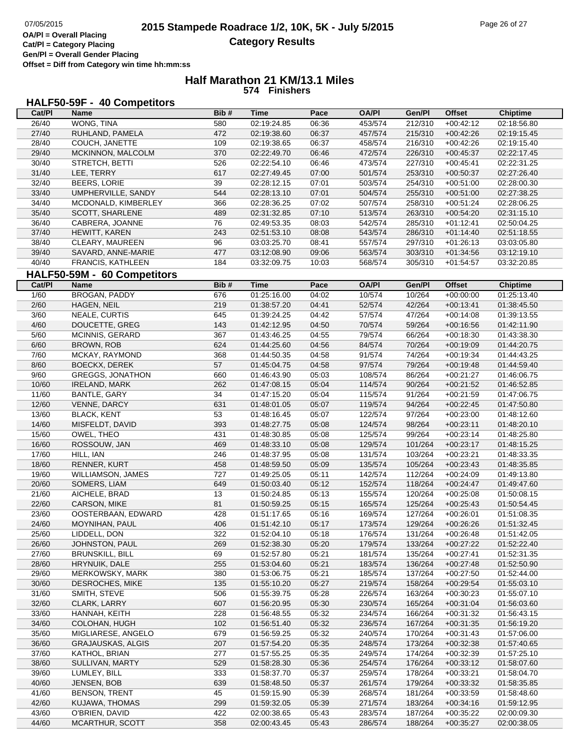#### **Half Marathon 21 KM/13.1 Miles 574 Finishers**

# **HALF50-59F - 40 Competitors**

| Cat/PI         | Name                                    | Bib#       | Time                       | Pace           | <b>OA/PI</b>       | Gen/PI             | <b>Offset</b>              | <b>Chiptime</b>            |
|----------------|-----------------------------------------|------------|----------------------------|----------------|--------------------|--------------------|----------------------------|----------------------------|
| 26/40          | <b>WONG, TINA</b>                       | 580        | 02:19:24.85                | 06:36          | 453/574            | 212/310            | $+00:42:12$                | 02:18:56.80                |
| 27/40          | RUHLAND, PAMELA                         | 472        | 02:19:38.60                | 06:37          | 457/574            | 215/310            | $+00:42:26$                | 02:19:15.45                |
| 28/40          | COUCH, JANETTE                          | 109        | 02:19:38.65                | 06:37          | 458/574            | 216/310            | $+00:42:26$                | 02:19:15.40                |
| 29/40          | MCKINNON, MALCOLM                       | 370        | 02:22:49.70                | 06:46          | 472/574            | 226/310            | $+00:45:37$                | 02:22:17.45                |
| 30/40          | STRETCH, BETTI                          | 526        | 02:22:54.10                | 06:46          | 473/574            | 227/310            | $+00:45:41$                | 02:22:31.25                |
| 31/40          | LEE, TERRY                              | 617        | 02:27:49.45                | 07:00          | 501/574            | 253/310            | $+00:50:37$                | 02:27:26.40                |
| 32/40          | BEERS, LORIE                            | 39         | 02:28:12.15                | 07:01          | 503/574            | 254/310            | $+00:51:00$                | 02:28:00.30                |
| 33/40          | UMPHERVILLE, SANDY                      | 544        | 02:28:13.10                | 07:01          | 504/574            | 255/310            | $+00:51:00$                | 02:27:38.25                |
| 34/40          | MCDONALD, KIMBERLEY                     | 366        | 02:28:36.25                | 07:02          | 507/574            | 258/310            | $+00:51:24$                | 02:28:06.25                |
| 35/40          | SCOTT, SHARLENE                         | 489        | 02:31:32.85                | 07:10          | 513/574            | 263/310            | $+00:54:20$                | 02:31:15.10                |
| 36/40          | CABRERA, JOANNE                         | 76         | 02:49:53.35                | 08:03          | 542/574            | 285/310            | $+01:12:41$                | 02:50:04.25                |
| 37/40          | HEWITT, KAREN                           | 243        | 02:51:53.10                | 08:08          | 543/574            | 286/310            | $+01:14:40$                | 02:51:18.55                |
| 38/40          | CLEARY, MAUREEN                         | 96         | 03:03:25.70                | 08:41          | 557/574            | 297/310            | $+01:26:13$                | 03:03:05.80                |
| 39/40          | SAVARD, ANNE-MARIE                      | 477        | 03:12:08.90                | 09:06          | 563/574            | 303/310            | $+01:34:56$                | 03:12:19.10                |
| 40/40          | FRANCIS, KATHLEEN                       | 184        | 03:32:09.75                | 10:03          | 568/574            | 305/310            | $+01:54:57$                | 03:32:20.85                |
|                | HALF50-59M - 60 Competitors             |            |                            |                |                    |                    |                            |                            |
| Cat/PI         | Name                                    | Bib#       | <b>Time</b>                | Pace           | <b>OA/PI</b>       | Gen/Pl             | <b>Offset</b>              | Chiptime                   |
| 1/60           | <b>BROGAN, PADDY</b>                    | 676        |                            | 04:02          | 10/574             | 10/264             | $+00:00:00$                |                            |
|                |                                         |            | 01:25:16.00                |                |                    |                    |                            | 01:25:13.40                |
| 2/60           | HAGEN, NEIL                             | 219        | 01:38:57.20                | 04:41          | 52/574             | 42/264             | $+00:13:41$                | 01:38:45.50                |
| 3/60           | NEALE, CURTIS                           | 645        | 01:39:24.25                | 04:42          | 57/574             | 47/264             | $+00:14:08$                | 01:39:13.55                |
| 4/60           | DOUCETTE, GREG                          | 143        | 01:42:12.95                | 04:50          | 70/574             | 59/264             | $+00:16:56$                | 01:42:11.90                |
| 5/60           | MCINNIS, GERARD                         | 367        | 01:43:46.25                | 04:55          | 79/574             | 66/264             | $+00:18:30$                | 01:43:38.30                |
| 6/60           | BROWN, ROB                              | 624        | 01:44:25.60                | 04:56          | 84/574             | 70/264             | $+00:19:09$                | 01:44:20.75                |
| 7/60           | MCKAY, RAYMOND                          | 368        | 01:44:50.35                | 04:58          | 91/574             | 74/264             | $+00:19:34$                | 01:44:43.25                |
| 8/60           | <b>BOECKX, DEREK</b>                    | 57         | 01:45:04.75                | 04:58          | 97/574             | 79/264             | $+00:19:48$                | 01:44:59.40                |
| 9/60           | <b>GREGGS, JONATHON</b>                 | 660        | 01:46:43.90                | 05:03          | 108/574            | 86/264             | $+00:21:27$                | 01:46:06.75                |
| 10/60          | <b>IRELAND, MARK</b>                    | 262        | 01:47:08.15                | 05:04          | 114/574            | 90/264             | $+00:21:52$                | 01:46:52.85                |
| 11/60          | BANTLE, GARY                            | 34         | 01:47:15.20                | 05:04          | 115/574            | 91/264             | $+00:21:59$                | 01:47:06.75                |
| 12/60          | VENNE, DARCY                            | 631        | 01:48:01.05                | 05:07          | 119/574            | 94/264             | $+00:22:45$                | 01:47:50.80                |
| 13/60          | <b>BLACK, KENT</b>                      | 53         | 01:48:16.45                | 05:07          | 122/574            | 97/264             | $+00:23:00$                | 01:48:12.60                |
| 14/60          | MISFELDT, DAVID                         | 393        | 01:48:27.75                | 05:08          | 124/574            | 98/264             | $+00:23:11$                | 01:48:20.10                |
| 15/60          | OWEL, THEO                              | 431        | 01:48:30.85                | 05:08          | 125/574            | 99/264             | $+00:23:14$                | 01:48:25.80                |
| 16/60          | ROSSOUW, JAN                            | 469        | 01:48:33.10                | 05:08          | 129/574            | 101/264            | $+00:23:17$                | 01:48:15.25                |
| 17/60<br>18/60 | HILL, IAN                               | 246        | 01:48:37.95                | 05:08          | 131/574            | 103/264            | $+00:23:21$                | 01:48:33.35                |
|                | <b>RENNER, KURT</b>                     | 458<br>727 | 01:48:59.50                | 05:09          | 135/574            | 105/264<br>112/264 | $+00:23:43$                | 01:48:35.85                |
| 19/60<br>20/60 | <b>WILLIAMSON, JAMES</b>                |            | 01:49:25.05                | 05:11          | 142/574            |                    | $+00:24:09$                | 01:49:13.80                |
| 21/60          | SOMERS, LIAM<br>AICHELE, BRAD           | 649<br>13  | 01:50:03.40                | 05:12          | 152/574            | 118/264            | $+00:24:47$                | 01:49:47.60                |
| 22/60          |                                         | 81         | 01:50:24.85                | 05:13          | 155/574            | 120/264            | $+00:25:08$                | 01:50:08.15                |
|                | CARSON, MIKE                            |            | 01:50:59.25                | 05:15<br>05:16 | 165/574            | 125/264            | $+00:25:43$                | 01:50:54.45                |
| 23/60<br>24/60 | OOSTERBAAN, EDWARD<br>MOYNIHAN, PAUL    | 428<br>406 | 01:51:17.65<br>01:51:42.10 | 05:17          | 169/574<br>173/574 | 127/264<br>129/264 | $+00:26:01$<br>$+00.26.26$ | 01:51:08.35<br>01:51:32.45 |
| 25/60          | LIDDELL, DON                            | 322        | 01:52:04.10                | 05:18          | 176/574            | 131/264            | $+00:26:48$                | 01:51:42.05                |
| 26/60          | JOHNSTON, PAUL                          | 269        |                            | 05:20          | 179/574            | 133/264            | $+00:27:22$                |                            |
|                |                                         |            | 01:52:38.30                |                |                    |                    | $+00:27:41$                | 01:52:22.40                |
| 27/60<br>28/60 | <b>BRUNSKILL, BILL</b><br>HRYNUIK, DALE | 69         | 01:52:57.80                | 05:21<br>05:21 | 181/574            | 135/264<br>136/264 |                            | 01:52:31.35                |
| 29/60          | MERKOWSKY, MARK                         | 255<br>380 | 01:53:04.60<br>01:53:06.75 | 05:21          | 183/574<br>185/574 | 137/264            | $+00:27:48$<br>$+00:27:50$ | 01:52:50.90<br>01:52:44.00 |
| 30/60          | DESROCHES, MIKE                         | 135        | 01:55:10.20                | 05:27          | 219/574            | 158/264            | $+00:29:54$                | 01:55:03.10                |
| 31/60          | SMITH, STEVE                            | 506        | 01:55:39.75                | 05:28          | 226/574            | 163/264            | $+00:30:23$                | 01:55:07.10                |
| 32/60          | CLARK, LARRY                            | 607        | 01:56:20.95                | 05:30          | 230/574            | 165/264            |                            | 01:56:03.60                |
| 33/60          | HANNAH, KEITH                           | 228        | 01:56:48.55                | 05:32          | 234/574            | 166/264            | $+00:31:04$                |                            |
| 34/60          | COLOHAN, HUGH                           | 102        | 01:56:51.40                | 05:32          | 236/574            | 167/264            | $+00:31:32$<br>$+00:31:35$ | 01:56:43.15<br>01:56:19.20 |
| 35/60          | MIGLIARESE, ANGELO                      | 679        | 01:56:59.25                | 05:32          | 240/574            | 170/264            | $+00:31:43$                | 01:57:06.00                |
| 36/60          | <b>GRAJAUSKAS, ALGIS</b>                | 207        | 01:57:54.20                | 05:35          | 248/574            | 173/264            | $+00:32:38$                | 01:57:40.65                |
| 37/60          | KATHOL, BRIAN                           | 277        | 01:57:55.25                | 05:35          | 249/574            | 174/264            | $+00:32:39$                | 01:57:25.10                |
| 38/60          | SULLIVAN, MARTY                         | 529        |                            | 05:36          | 254/574            | 176/264            |                            |                            |
| 39/60          | LUMLEY, BILL                            | 333        | 01:58:28.30<br>01:58:37.70 | 05:37          | 259/574            | 178/264            | $+00:33:12$<br>$+00:33:21$ | 01:58:07.60<br>01:58:04.70 |
| 40/60          | JENSEN, BOB                             | 639        | 01:58:48.50                | 05:37          | 261/574            | 179/264            | $+00:33:32$                | 01:58:35.85                |
| 41/60          | <b>BENSON, TRENT</b>                    | 45         | 01:59:15.90                | 05:39          | 268/574            | 181/264            | $+00:33:59$                | 01:58:48.60                |
| 42/60          | KUJAWA, THOMAS                          | 299        | 01:59:32.05                | 05:39          | 271/574            | 183/264            | $+00:34:16$                | 01:59:12.95                |
| 43/60          | O'BRIEN, DAVID                          | 422        | 02:00:38.65                | 05:43          | 283/574            | 187/264            | $+00:35:22$                | 02:00:09.30                |
| 44/60          | MCARTHUR, SCOTT                         | 358        | 02:00:43.45                | 05:43          | 286/574            | 188/264            | $+00:35:27$                | 02:00:38.05                |
|                |                                         |            |                            |                |                    |                    |                            |                            |